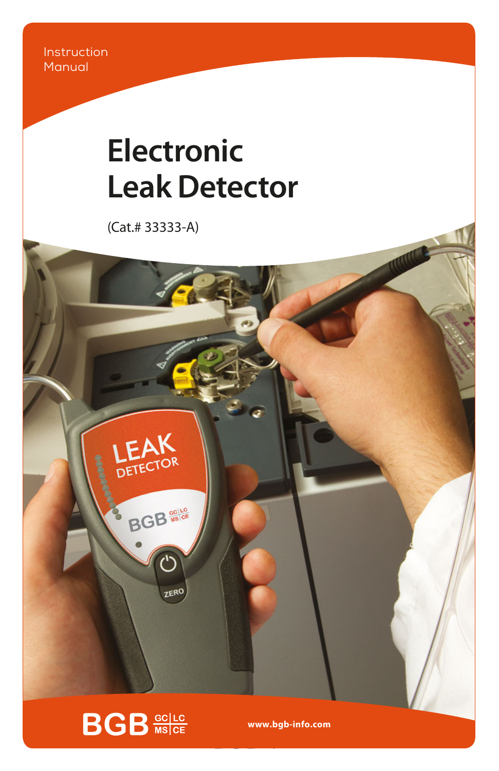# **Electronic Leak Detector**

(Cat.# 33333-A)



## **BGB SIGRE**

**www.bgb-info.com**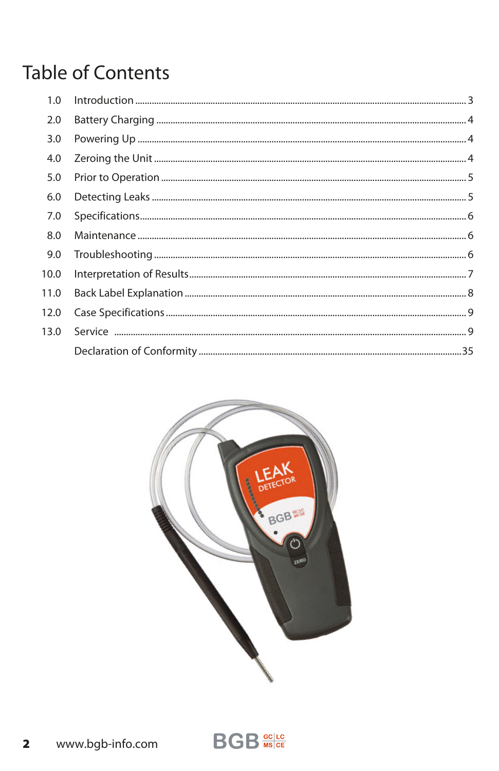### **Table of Contents**

| 1.0  |  |
|------|--|
| 2.0  |  |
| 3.0  |  |
| 4.0  |  |
| 5.0  |  |
| 6.0  |  |
| 7.0  |  |
| 8.0  |  |
| 9.0  |  |
| 10.0 |  |
| 11.0 |  |
| 12.0 |  |
| 13.0 |  |
|      |  |
|      |  |



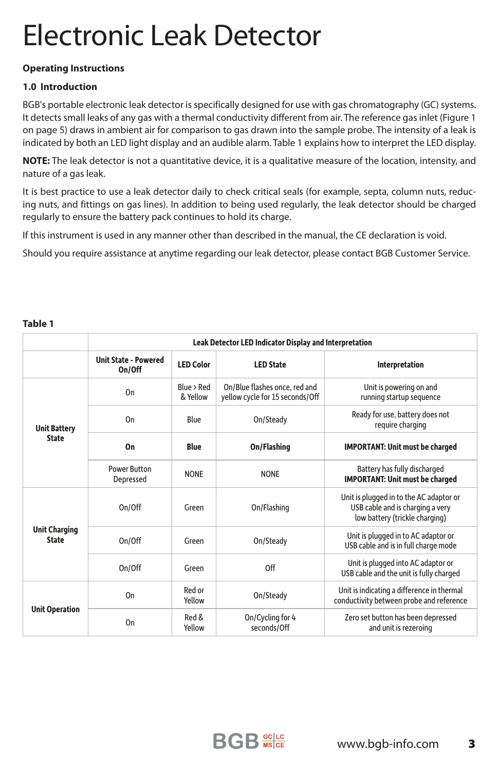## Electronic Leak Detector

#### **Operating Instructions**

#### **1.0 Introduction**

BGB's portable electronic leak detector is specifically designed for use with gas chromatography (GC) systems. It detects small leaks of any gas with a thermal conductivity different from air. The reference gas inlet (Figure 1 on page 5) draws in ambient air for comparison to gas drawn into the sample probe. The intensity of a leak is indicated by both an LED light display and an audible alarm. Table 1 explains how to interpret the LED display.

**NOTE:** The leak detector is not a quantitative device, it is a qualitative measure of the location, intensity, and nature of a gas leak.

It is best practice to use a leak detector daily to check critical seals (for example, septa, column nuts, reducing nuts, and fittings on gas lines). In addition to being used regularly, the leak detector should be charged regularly to ensure the battery pack continues to hold its charge.

If this instrument is used in any manner other than described in the manual, the CE declaration is void.

Should you require assistance at anytime regarding our leak detector, please contact BGB Customer Service.

|                               | <b>Leak Detector LED Indicator Display and Interpretation</b> |                        |                                                                  |                                                                                                               |  |
|-------------------------------|---------------------------------------------------------------|------------------------|------------------------------------------------------------------|---------------------------------------------------------------------------------------------------------------|--|
|                               | <b>Unit State - Powered</b><br>On/Off                         | <b>LED Color</b>       | <b>LED State</b>                                                 | Interpretation                                                                                                |  |
|                               | On                                                            | Blue > Red<br>& Yellow | On/Blue flashes once, red and<br>yellow cycle for 15 seconds/Off | Unit is powering on and<br>running startup sequence                                                           |  |
| <b>Unit Battery</b>           | On                                                            | Blue                   | On/Steady                                                        | Ready for use, battery does not<br>require charging                                                           |  |
| <b>State</b>                  | On                                                            | Blue                   | On/Flashing                                                      | <b>IMPORTANT: Unit must be charged</b>                                                                        |  |
|                               | Power Button<br>Depressed                                     | <b>NONF</b>            | <b>NONF</b>                                                      | Battery has fully discharged<br><b>IMPORTANT: Unit must be charged</b>                                        |  |
|                               | On/Off                                                        | Green                  | On/Flashing                                                      | Unit is plugged in to the AC adaptor or<br>USB cable and is charging a very<br>low battery (trickle charging) |  |
| <b>Unit Charging</b><br>State | On/Off                                                        | Green                  | On/Steady                                                        | Unit is plugged in to AC adaptor or<br>USB cable and is in full charge mode                                   |  |
|                               | On/Off                                                        | Green                  | Off                                                              | Unit is plugged into AC adaptor or<br>USB cable and the unit is fully charged                                 |  |
| <b>Unit Operation</b>         | On                                                            | Red or<br>Yellow       | On/Steady                                                        | Unit is indicating a difference in thermal<br>conductivity between probe and reference                        |  |
|                               | On                                                            | Red &<br>Yellow        | On/Cycling for 4<br>seconds/Off                                  | Zero set button has been depressed<br>and unit is rezeroing                                                   |  |

#### **Table 1**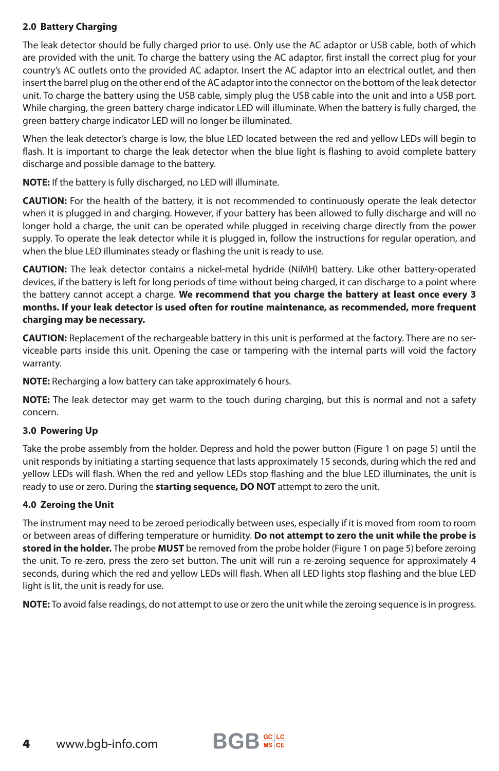#### **2.0 Battery Charging**

The leak detector should be fully charged prior to use. Only use the AC adaptor or USB cable, both of which are provided with the unit. To charge the battery using the AC adaptor, first install the correct plug for your country's AC outlets onto the provided AC adaptor. Insert the AC adaptor into an electrical outlet, and then insert the barrel plug on the other end of the AC adaptor into the connector on the bottom of the leak detector unit. To charge the battery using the USB cable, simply plug the USB cable into the unit and into a USB port. While charging, the green battery charge indicator LED will illuminate. When the battery is fully charged, the green battery charge indicator LED will no longer be illuminated.

When the leak detector's charge is low, the blue LED located between the red and yellow LEDs will begin to flash. It is important to charge the leak detector when the blue light is flashing to avoid complete battery discharge and possible damage to the battery.

**NOTE:** If the battery is fully discharged, no LED will illuminate.

**CAUTION:** For the health of the battery, it is not recommended to continuously operate the leak detector when it is plugged in and charging. However, if your battery has been allowed to fully discharge and will no longer hold a charge, the unit can be operated while plugged in receiving charge directly from the power supply. To operate the leak detector while it is plugged in, follow the instructions for regular operation, and when the blue LED illuminates steady or flashing the unit is ready to use.

**CAUTION:** The leak detector contains a nickel-metal hydride (NiMH) battery. Like other battery-operated devices, if the battery is left for long periods of time without being charged, it can discharge to a point where the battery cannot accept a charge. **We recommend that you charge the battery at least once every 3 months. If your leak detector is used often for routine maintenance, as recommended, more frequent charging may be necessary.**

**CAUTION:** Replacement of the rechargeable battery in this unit is performed at the factory. There are no serviceable parts inside this unit. Opening the case or tampering with the internal parts will void the factory warranty.

**NOTE:** Recharging a low battery can take approximately 6 hours.

**NOTE:** The leak detector may get warm to the touch during charging, but this is normal and not a safety concern.

#### **3.0 Powering Up**

Take the probe assembly from the holder. Depress and hold the power button (Figure 1 on page 5) until the unit responds by initiating a starting sequence that lasts approximately 15 seconds, during which the red and yellow LEDs will flash. When the red and yellow LEDs stop flashing and the blue LED illuminates, the unit is ready to use or zero. During the **starting sequence, DO NOT** attempt to zero the unit.

#### **4.0 Zeroing the Unit**

The instrument may need to be zeroed periodically between uses, especially if it is moved from room to room or between areas of differing temperature or humidity. **Do not attempt to zero the unit while the probe is stored in the holder.** The probe **MUST** be removed from the probe holder (Figure 1 on page 5) before zeroing the unit. To re-zero, press the zero set button. The unit will run a re-zeroing sequence for approximately 4 seconds, during which the red and yellow LEDs will flash. When all LED lights stop flashing and the blue LED light is lit, the unit is ready for use.

**NOTE:** To avoid false readings, do not attempt to use or zero the unit while the zeroing sequence is in progress.

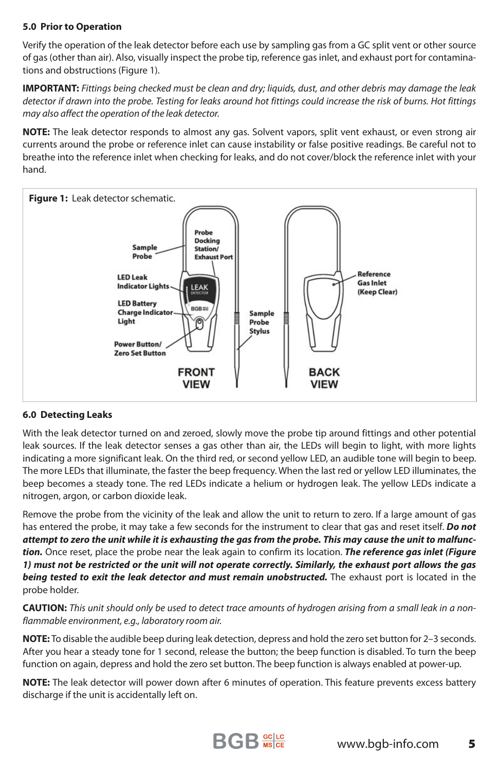#### **5.0 Prior to Operation**

Verify the operation of the leak detector before each use by sampling gas from a GC split vent or other source of gas (other than air). Also, visually inspect the probe tip, reference gas inlet, and exhaust port for contaminations and obstructions (Figure 1).

**IMPORTANT:** *Fittings being checked must be clean and dry; liquids, dust, and other debris may damage the leak detector if drawn into the probe. Testing for leaks around hot fittings could increase the risk of burns. Hot fittings may also affect the operation of the leak detector.*

**NOTE:** The leak detector responds to almost any gas. Solvent vapors, split vent exhaust, or even strong air currents around the probe or reference inlet can cause instability or false positive readings. Be careful not to breathe into the reference inlet when checking for leaks, and do not cover/block the reference inlet with your hand.



#### **6.0 Detecting Leaks**

With the leak detector turned on and zeroed, slowly move the probe tip around fittings and other potential leak sources. If the leak detector senses a gas other than air, the LEDs will begin to light, with more lights indicating a more significant leak. On the third red, or second yellow LED, an audible tone will begin to beep. The more LEDs that illuminate, the faster the beep frequency. When the last red or yellow LED illuminates, the beep becomes a steady tone. The red LEDs indicate a helium or hydrogen leak. The yellow LEDs indicate a nitrogen, argon, or carbon dioxide leak.

Remove the probe from the vicinity of the leak and allow the unit to return to zero. If a large amount of gas has entered the probe, it may take a few seconds for the instrument to clear that gas and reset itself. *Do not attempt to zero the unit while it is exhausting the gas from the probe. This may cause the unit to malfunction.* Once reset, place the probe near the leak again to confirm its location. *The reference gas inlet (Figure 1) must not be restricted or the unit will not operate correctly. Similarly, the exhaust port allows the gas*  being tested to exit the leak detector and must remain unobstructed. The exhaust port is located in the probe holder.

**CAUTION:** *This unit should only be used to detect trace amounts of hydrogen arising from a small leak in a nonflammable environment, e.g., laboratory room air.*

**NOTE:** To disable the audible beep during leak detection, depress and hold the zero set button for 2–3 seconds. After you hear a steady tone for 1 second, release the button; the beep function is disabled. To turn the beep function on again, depress and hold the zero set button. The beep function is always enabled at power-up.

**NOTE:** The leak detector will power down after 6 minutes of operation. This feature prevents excess battery discharge if the unit is accidentally left on.

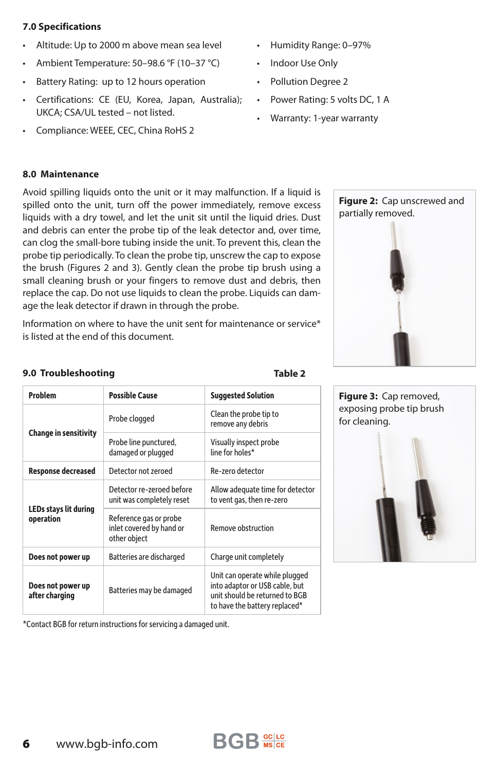#### **7.0 Specifications**

- Altitude: Up to 2000 m above mean sea level
- Ambient Temperature: 50–98.6 °F (10–37 °C)
- Battery Rating: up to 12 hours operation
- Certifications: CE (EU, Korea, Japan, Australia); UKCA; CSA/UL tested – not listed.
- Compliance: WEEE, CEC, China RoHS 2
- Humidity Range: 0–97%
- Indoor Use Only

**Table 2**

- Pollution Degree 2
- Power Rating: 5 volts DC, 1 A
- Warranty: 1-year warranty

#### **8.0 Maintenance**

Avoid spilling liquids onto the unit or it may malfunction. If a liquid is spilled onto the unit, turn off the power immediately, remove excess liquids with a dry towel, and let the unit sit until the liquid dries. Dust and debris can enter the probe tip of the leak detector and, over time, can clog the small-bore tubing inside the unit. To prevent this, clean the probe tip periodically. To clean the probe tip, unscrew the cap to expose the brush (Figures 2 and 3). Gently clean the probe tip brush using a small cleaning brush or your fingers to remove dust and debris, then replace the cap. Do not use liquids to clean the probe. Liquids can damage the leak detector if drawn in through the probe.

Information on where to have the unit sent for maintenance or service\* is listed at the end of this document.



#### **9.0 Troubleshooting**



**Figure 3:** Cap removed, exposing probe tip brush



\*Contact BGB for return instructions for servicing a damaged unit.

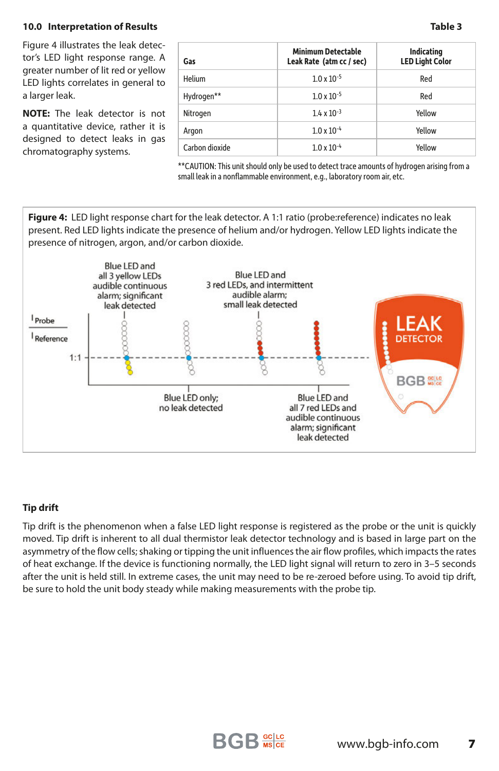#### **10.0 Interpretation of Results**

Figure 4 illustrates the leak detector's LED light response range. A greater number of lit red or yellow LED lights correlates in general to a larger leak.

**NOTE:** The leak detector is not a quantitative device, rather it is designed to detect leaks in gas chromatography systems.

| Gas            | <b>Minimum Detectable</b><br>Leak Rate (atm cc / sec) | <b>Indicating</b><br><b>LED Light Color</b> |
|----------------|-------------------------------------------------------|---------------------------------------------|
| Helium         | $1.0 \times 10^{-5}$                                  | Red                                         |
| Hydrogen**     | $1.0 \times 10^{-5}$                                  | Red                                         |
| Nitrogen       | $14 \times 10^{-3}$                                   | Yellow                                      |
| Argon          | $1.0 \times 10^{-4}$                                  | Yellow                                      |
| Carbon dioxide | $1.0 \times 10^{-4}$                                  | Yellow                                      |

\*\*CAUTION: This unit should only be used to detect trace amounts of hydrogen arising from a small leak in a nonflammable environment, e.g., laboratory room air, etc.

**Figure 4:** LED light response chart for the leak detector. A 1:1 ratio (probe:reference) indicates no leak present. Red LED lights indicate the presence of helium and/or hydrogen. Yellow LED lights indicate the presence of nitrogen, argon, and/or carbon dioxide.



#### **Tip drift**

Tip drift is the phenomenon when a false LED light response is registered as the probe or the unit is quickly moved. Tip drift is inherent to all dual thermistor leak detector technology and is based in large part on the asymmetry of the flow cells; shaking or tipping the unit influences the air flow profiles, which impacts the rates of heat exchange. If the device is functioning normally, the LED light signal will return to zero in 3–5 seconds after the unit is held still. In extreme cases, the unit may need to be re-zeroed before using. To avoid tip drift, be sure to hold the unit body steady while making measurements with the probe tip.

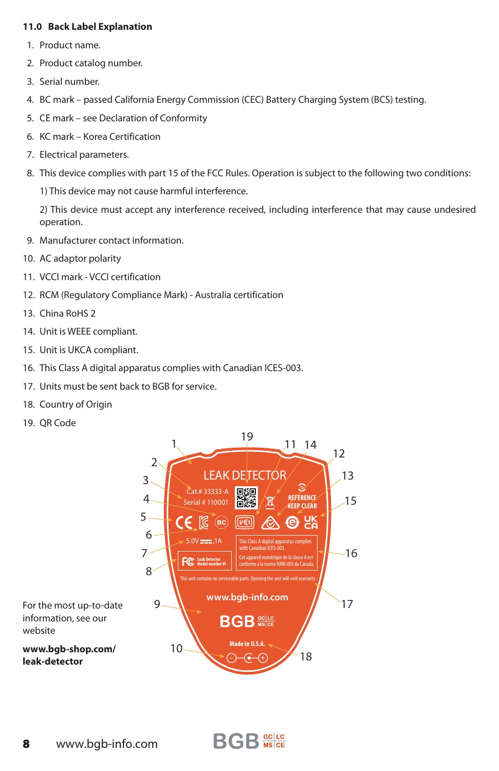#### **11.0 Back Label Explanation**

- 1. Product name.
- 2. Product catalog number.
- 3. Serial number.
- 4. BC mark passed California Energy Commission (CEC) Battery Charging System (BCS) testing.
- 5. CE mark see Declaration of Conformity
- 6. KC mark Korea Certification
- 7. Electrical parameters.
- 8. This device complies with part 15 of the FCC Rules. Operation is subject to the following two conditions:

1) This device may not cause harmful interference.

2) This device must accept any interference received, including interference that may cause undesired operation.

- 9. Manufacturer contact information.
- 10. AC adaptor polarity
- 11. VCCI mark VCCI certification
- 12. RCM (Regulatory Compliance Mark) Australia certification
- 13. China RoHS 2
- 14. Unit is WEEE compliant.
- 15. Unit is UKCA compliant.
- 16. This Class A digital apparatus complies with Canadian ICES-003.
- 17. Units must be sent back to BGB for service.
- 18. Country of Origin
- 19. QR Code

website

**leak-detector**

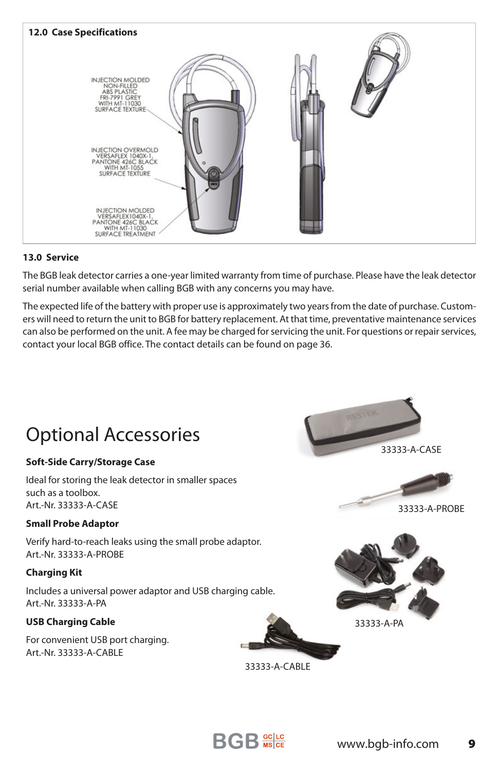

#### **13.0 Service**

The BGB leak detector carries a one-year limited warranty from time of purchase. Please have the leak detector serial number available when calling BGB with any concerns you may have.

The expected life of the battery with proper use is approximately two years from the date of purchase. Customers will need to return the unit to BGB for battery replacement. At that time, preventative maintenance services can also be performed on the unit. A fee may be charged for servicing the unit. For questions or repair services, contact your local BGB office. The contact details can be found on page 36.



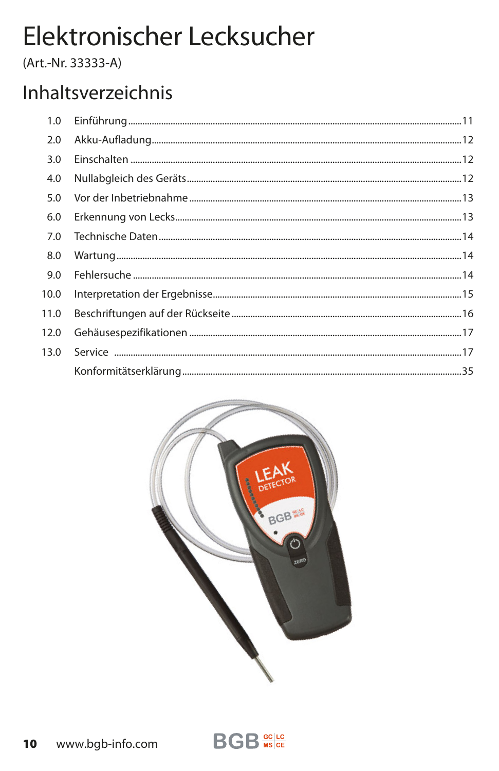## Elektronischer Lecksucher

(Art.-Nr. 33333-A)

### Inhaltsverzeichnis

| 1.0  |  |
|------|--|
| 2.0  |  |
| 3.0  |  |
| 4.0  |  |
| 5.0  |  |
| 6.0  |  |
| 7.0  |  |
| 8.0  |  |
| 9.0  |  |
| 10.0 |  |
| 11.0 |  |
| 12.0 |  |
| 13.0 |  |
|      |  |
|      |  |



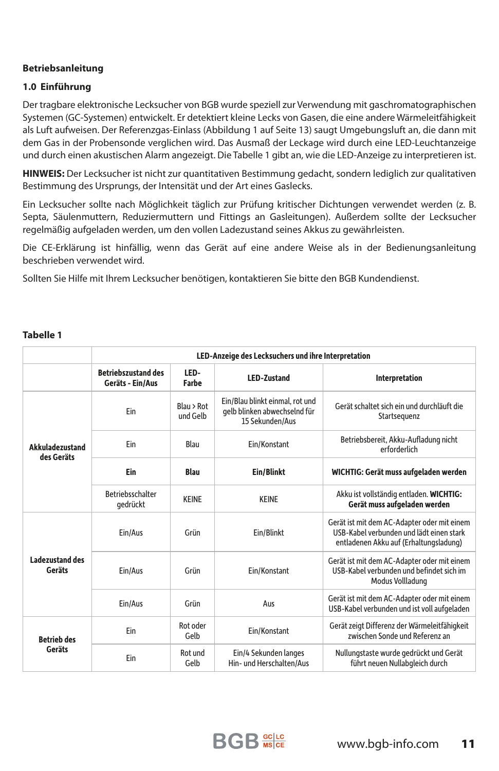#### **Betriebsanleitung**

#### **1.0 Einführung**

Der tragbare elektronische Lecksucher von BGB wurde speziell zur Verwendung mit gaschromatographischen Systemen (GC-Systemen) entwickelt. Er detektiert kleine Lecks von Gasen, die eine andere Wärmeleitfähigkeit als Luft aufweisen. Der Referenzgas-Einlass (Abbildung 1 auf Seite 13) saugt Umgebungsluft an, die dann mit dem Gas in der Probensonde verglichen wird. Das Ausmaß der Leckage wird durch eine LED-Leuchtanzeige und durch einen akustischen Alarm angezeigt. Die Tabelle 1 gibt an, wie die LED-Anzeige zu interpretieren ist.

**HINWEIS:** Der Lecksucher ist nicht zur quantitativen Bestimmung gedacht, sondern lediglich zur qualitativen Bestimmung des Ursprungs, der Intensität und der Art eines Gaslecks.

Ein Lecksucher sollte nach Möglichkeit täglich zur Prüfung kritischer Dichtungen verwendet werden (z. B. Septa, Säulenmuttern, Reduziermuttern und Fittings an Gasleitungen). Außerdem sollte der Lecksucher regelmäßig aufgeladen werden, um den vollen Ladezustand seines Akkus zu gewährleisten.

Die CE-Erklärung ist hinfällig, wenn das Gerät auf eine andere Weise als in der Bedienungsanleitung beschrieben verwendet wird.

Sollten Sie Hilfe mit Ihrem Lecksucher benötigen, kontaktieren Sie bitte den BGB Kundendienst.

#### **Tabelle 1**

|                               | LED-Anzeige des Lecksuchers und ihre Interpretation |                        |                                                                                    |                                                                                                                                   |  |
|-------------------------------|-----------------------------------------------------|------------------------|------------------------------------------------------------------------------------|-----------------------------------------------------------------------------------------------------------------------------------|--|
|                               | <b>Betriebszustand des</b><br>Geräts - Ein/Aus      | LED-<br>Farbe          | <b>LED-Zustand</b>                                                                 | Interpretation                                                                                                                    |  |
|                               | Ein                                                 | Blau > Rot<br>und Gelb | Ein/Blau blinkt einmal, rot und<br>gelb blinken abwechselnd für<br>15 Sekunden/Aus | Gerät schaltet sich ein und durchläuft die<br>Startsequenz                                                                        |  |
| Akkuladezustand<br>des Geräts | Ein                                                 | Blau                   | Ein/Konstant                                                                       | Betriebsbereit, Akku-Aufladung nicht<br>erforderlich                                                                              |  |
|                               | Ein                                                 | Blau                   | Ein/Blinkt                                                                         | WICHTIG: Gerät muss aufgeladen werden                                                                                             |  |
|                               | <b>Betriebsschalter</b><br>qedrückt                 | <b>KEINE</b>           | <b>KEINE</b>                                                                       | Akku ist vollständig entladen. WICHTIG:<br>Gerät muss aufgeladen werden                                                           |  |
|                               | Ein/Aus                                             | Grün                   | Ein/Blinkt                                                                         | Gerät ist mit dem AC-Adapter oder mit einem<br>USB-Kabel verbunden und lädt einen stark<br>entladenen Akku auf (Erhaltungsladung) |  |
| Ladezustand des<br>Geräts     | Ein/Aus                                             | Grün                   | Ein/Konstant                                                                       | Gerät ist mit dem AC-Adapter oder mit einem<br>USB-Kabel verbunden und befindet sich im<br>Modus Vollladung                       |  |
|                               | Ein/Aus                                             | Grün                   | Aus                                                                                | Gerät ist mit dem AC-Adapter oder mit einem<br>USB-Kabel verbunden und ist voll aufgeladen                                        |  |
| <b>Betrieb des</b>            | Ein                                                 | Rot oder<br>Gelb       | Ein/Konstant                                                                       | Gerät zeigt Differenz der Wärmeleitfähigkeit<br>zwischen Sonde und Referenz an                                                    |  |
| Geräts                        | Ein                                                 | Rot und<br>Gelb        | Ein/4 Sekunden langes<br>Hin- und Herschalten/Aus                                  | Nullungstaste wurde gedrückt und Gerät<br>führt neuen Nullabgleich durch                                                          |  |

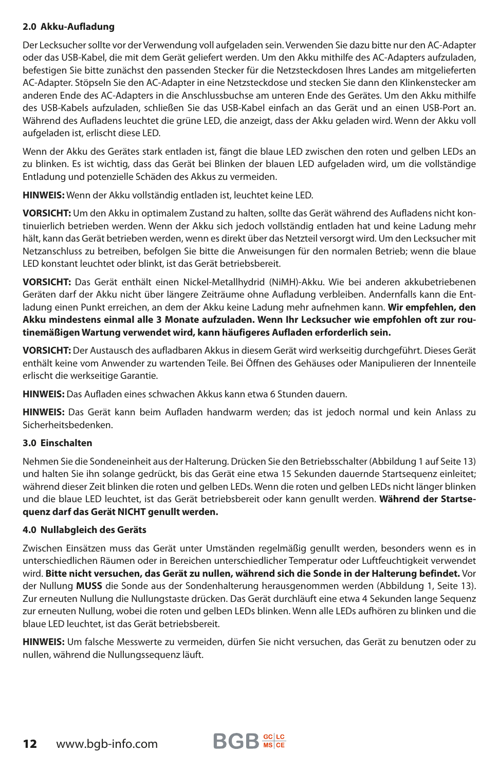#### **2.0 Akku-Aufladung**

Der Lecksucher sollte vor der Verwendung voll aufgeladen sein. Verwenden Sie dazu bitte nur den AC-Adapter oder das USB-Kabel, die mit dem Gerät geliefert werden. Um den Akku mithilfe des AC-Adapters aufzuladen, befestigen Sie bitte zunächst den passenden Stecker für die Netzsteckdosen Ihres Landes am mitgelieferten AC-Adapter. Stöpseln Sie den AC-Adapter in eine Netzsteckdose und stecken Sie dann den Klinkenstecker am anderen Ende des AC-Adapters in die Anschlussbuchse am unteren Ende des Gerätes. Um den Akku mithilfe des USB-Kabels aufzuladen, schließen Sie das USB-Kabel einfach an das Gerät und an einen USB-Port an. Während des Aufladens leuchtet die grüne LED, die anzeigt, dass der Akku geladen wird. Wenn der Akku voll aufgeladen ist, erlischt diese LED.

Wenn der Akku des Gerätes stark entladen ist, fängt die blaue LED zwischen den roten und gelben LEDs an zu blinken. Es ist wichtig, dass das Gerät bei Blinken der blauen LED aufgeladen wird, um die vollständige Entladung und potenzielle Schäden des Akkus zu vermeiden.

**HINWEIS:** Wenn der Akku vollständig entladen ist, leuchtet keine LED.

**VORSICHT:** Um den Akku in optimalem Zustand zu halten, sollte das Gerät während des Aufladens nicht kontinuierlich betrieben werden. Wenn der Akku sich jedoch vollständig entladen hat und keine Ladung mehr hält, kann das Gerät betrieben werden, wenn es direkt über das Netzteil versorgt wird. Um den Lecksucher mit Netzanschluss zu betreiben, befolgen Sie bitte die Anweisungen für den normalen Betrieb; wenn die blaue LED konstant leuchtet oder blinkt, ist das Gerät betriebsbereit.

**VORSICHT:** Das Gerät enthält einen Nickel-Metallhydrid (NiMH)-Akku. Wie bei anderen akkubetriebenen Geräten darf der Akku nicht über längere Zeiträume ohne Aufladung verbleiben. Andernfalls kann die Entladung einen Punkt erreichen, an dem der Akku keine Ladung mehr aufnehmen kann. **Wir empfehlen, den Akku mindestens einmal alle 3 Monate aufzuladen. Wenn Ihr Lecksucher wie empfohlen oft zur routinemäßigen Wartung verwendet wird, kann häufigeres Aufladen erforderlich sein.**

**VORSICHT:** Der Austausch des aufladbaren Akkus in diesem Gerät wird werkseitig durchgeführt. Dieses Gerät enthält keine vom Anwender zu wartenden Teile. Bei Öffnen des Gehäuses oder Manipulieren der Innenteile erlischt die werkseitige Garantie.

**HINWEIS:** Das Aufladen eines schwachen Akkus kann etwa 6 Stunden dauern.

**HINWEIS:** Das Gerät kann beim Aufladen handwarm werden; das ist jedoch normal und kein Anlass zu Sicherheitsbedenken.

#### **3.0 Einschalten**

Nehmen Sie die Sondeneinheit aus der Halterung. Drücken Sie den Betriebsschalter (Abbildung 1 auf Seite 13) und halten Sie ihn solange gedrückt, bis das Gerät eine etwa 15 Sekunden dauernde Startsequenz einleitet; während dieser Zeit blinken die roten und gelben LEDs. Wenn die roten und gelben LEDs nicht länger blinken und die blaue LED leuchtet, ist das Gerät betriebsbereit oder kann genullt werden. **Während der Startsequenz darf das Gerät NICHT genullt werden.**

#### **4.0 Nullabgleich des Geräts**

Zwischen Einsätzen muss das Gerät unter Umständen regelmäßig genullt werden, besonders wenn es in unterschiedlichen Räumen oder in Bereichen unterschiedlicher Temperatur oder Luftfeuchtigkeit verwendet wird. **Bitte nicht versuchen, das Gerät zu nullen, während sich die Sonde in der Halterung befindet.** Vor der Nullung **MUSS** die Sonde aus der Sondenhalterung herausgenommen werden (Abbildung 1, Seite 13). Zur erneuten Nullung die Nullungstaste drücken. Das Gerät durchläuft eine etwa 4 Sekunden lange Sequenz zur erneuten Nullung, wobei die roten und gelben LEDs blinken. Wenn alle LEDs aufhören zu blinken und die blaue LED leuchtet, ist das Gerät betriebsbereit.

**HINWEIS:** Um falsche Messwerte zu vermeiden, dürfen Sie nicht versuchen, das Gerät zu benutzen oder zu nullen, während die Nullungssequenz läuft.

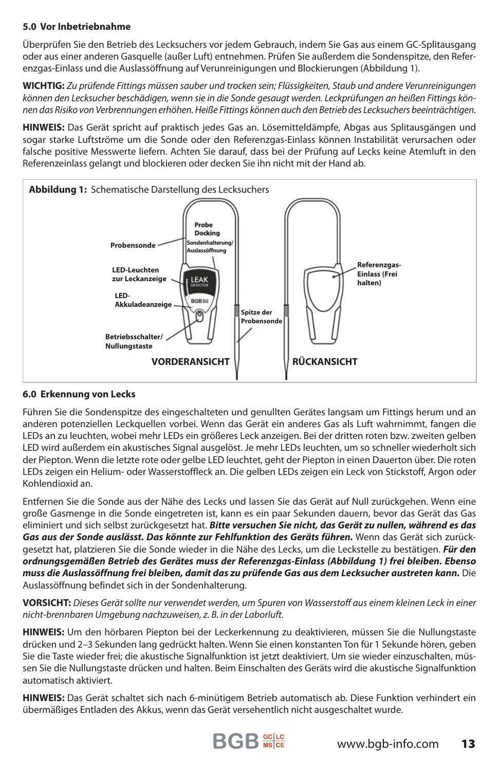#### **5.0 Vor Inbetriebnahme**

Überprüfen Sie den Betrieb des Lecksuchers vor jedem Gebrauch, indem Sie Gas aus einem GC-Splitausgang oder aus einer anderen Gasquelle (außer Luft) entnehmen. Prüfen Sie außerdem die Sondenspitze, den Referenzgas-Einlass und die Auslassöffnung auf Verunreinigungen und Blockierungen (Abbildung 1).

**WICHTIG:** *Zu prüfende Fittings müssen sauber und trocken sein; Flüssigkeiten, Staub und andere Verunreinigungen können den Lecksucher beschädigen, wenn sie in die Sonde gesaugt werden. Leckprüfungen an heißen Fittings können das Risiko von Verbrennungen erhöhen. Heiße Fittings können auch den Betrieb des Lecksuchers beeinträchtigen.*

**HINWEIS:** Das Gerät spricht auf praktisch jedes Gas an. Lösemitteldämpfe, Abgas aus Splitausgängen und sogar starke Luftströme um die Sonde oder den Referenzgas-Einlass können Instabilität verursachen oder falsche positive Messwerte liefern. Achten Sie darauf, dass bei der Prüfung auf Lecks keine Atemluft in den Referenzeinlass gelangt und blockieren oder decken Sie ihn nicht mit der Hand ab.



#### **6.0 Erkennung von Lecks**

Führen Sie die Sondenspitze des eingeschalteten und genullten Gerätes langsam um Fittings herum und an anderen potenziellen Leckquellen vorbei. Wenn das Gerät ein anderes Gas als Luft wahrnimmt, fangen die LEDs an zu leuchten, wobei mehr LEDs ein größeres Leck anzeigen. Bei der dritten roten bzw. zweiten gelben LED wird außerdem ein akustisches Signal ausgelöst. Je mehr LEDs leuchten, um so schneller wiederholt sich der Piepton. Wenn die letzte rote oder gelbe LED leuchtet, geht der Piepton in einen Dauerton über. Die roten LEDs zeigen ein Helium- oder Wasserstoffleck an. Die gelben LEDs zeigen ein Leck von Stickstoff, Argon oder Kohlendioxid an.

Entfernen Sie die Sonde aus der Nähe des Lecks und lassen Sie das Gerät auf Null zurückgehen. Wenn eine große Gasmenge in die Sonde eingetreten ist, kann es ein paar Sekunden dauern, bevor das Gerät das Gas eliminiert und sich selbst zurückgesetzt hat. *Bitte versuchen Sie nicht, das Gerät zu nullen, während es das Gas aus der Sonde auslässt. Das könnte zur Fehlfunktion des Geräts führen.* Wenn das Gerät sich zurückgesetzt hat, platzieren Sie die Sonde wieder in die Nähe des Lecks, um die Leckstelle zu bestätigen. *Für den ordnungsgemäßen Betrieb des Gerätes muss der Referenzgas-Einlass (Abbildung 1) frei bleiben. Ebenso muss die Auslassöffnung frei bleiben, damit das zu prüfende Gas aus dem Lecksucher austreten kann.* Die Auslassöffnung befindet sich in der Sondenhalterung.

**VORSICHT:** *Dieses Gerät sollte nur verwendet werden, um Spuren von Wasserstoff aus einem kleinen Leck in einer nicht-brennbaren Umgebung nachzuweisen, z. B. in der Laborluft.*

**HINWEIS:** Um den hörbaren Piepton bei der Leckerkennung zu deaktivieren, müssen Sie die Nullungstaste drücken und 2–3 Sekunden lang gedrückt halten. Wenn Sie einen konstanten Ton für 1 Sekunde hören, geben Sie die Taste wieder frei; die akustische Signalfunktion ist jetzt deaktiviert. Um sie wieder einzuschalten, müssen Sie die Nullungstaste drücken und halten. Beim Einschalten des Geräts wird die akustische Signalfunktion automatisch aktiviert.

**HINWEIS:** Das Gerät schaltet sich nach 6-minütigem Betrieb automatisch ab. Diese Funktion verhindert ein übermäßiges Entladen des Akkus, wenn das Gerät versehentlich nicht ausgeschaltet wurde.

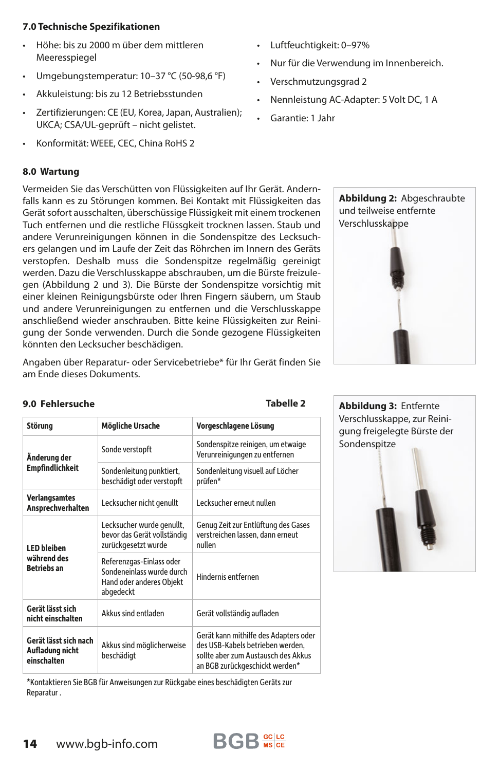#### **7.0 Technische Spezifikationen**

- Höhe: bis zu 2000 m über dem mittleren Meeresspiegel
- Umgebungstemperatur: 10–37 °C (50-98,6 °F)
- Akkuleistung: bis zu 12 Betriebsstunden
- Zertifizierungen: CE (EU, Korea, Japan, Australien); UKCA; CSA/UL-geprüft – nicht gelistet.
- Konformität: WEEE, CEC, China RoHS 2

#### **8.0 Wartung**

Vermeiden Sie das Verschütten von Flüssigkeiten auf Ihr Gerät. Andernfalls kann es zu Störungen kommen. Bei Kontakt mit Flüssigkeiten das Gerät sofort ausschalten, überschüssige Flüssigkeit mit einem trockenen Tuch entfernen und die restliche Flüssgkeit trocknen lassen. Staub und andere Verunreinigungen können in die Sondenspitze des Lecksuchers gelangen und im Laufe der Zeit das Röhrchen im Innern des Geräts verstopfen. Deshalb muss die Sondenspitze regelmäßig gereinigt werden. Dazu die Verschlusskappe abschrauben, um die Bürste freizulegen (Abbildung 2 und 3). Die Bürste der Sondenspitze vorsichtig mit einer kleinen Reinigungsbürste oder Ihren Fingern säubern, um Staub und andere Verunreinigungen zu entfernen und die Verschlusskappe anschließend wieder anschrauben. Bitte keine Flüssigkeiten zur Reinigung der Sonde verwenden. Durch die Sonde gezogene Flüssigkeiten könnten den Lecksucher beschädigen.

Angaben über Reparatur- oder Servicebetriebe\* für Ihr Gerät finden Sie am Ende dieses Dokuments.

| Luftfeuchtigkeit: 0-97% |
|-------------------------|
|-------------------------|

- Nur für die Verwendung im Innenbereich.
- Verschmutzungsgrad 2
- Nennleistung AC-Adapter: 5 Volt DC, 1 A
- Garantie: 1 Jahr





#### **9.0 Fehlersuche**

**Tabelle 2**

| <b>Störung</b>                                          | Mögliche Ursache                                                                               | Vorgeschlagene Lösung                                                                                                                              |
|---------------------------------------------------------|------------------------------------------------------------------------------------------------|----------------------------------------------------------------------------------------------------------------------------------------------------|
| Änderung der                                            | Sonde verstopft                                                                                | Sondenspitze reinigen, um etwaige<br>Verunreinigungen zu entfernen                                                                                 |
| <b>Empfindlichkeit</b>                                  | Sondenleitung punktiert,<br>beschädigt oder verstopft                                          | Sondenleitung visuell auf Löcher<br>prüfen*                                                                                                        |
| Verlangsamtes<br>Ansprechverhalten                      | Lecksucher nicht genullt                                                                       | Lecksucher erneut nullen                                                                                                                           |
| <b>LED bleiben</b>                                      | Lecksucher wurde genullt,<br>bevor das Gerät vollständig<br>zurückgesetzt wurde                | Genug Zeit zur Entlüftung des Gases<br>verstreichen lassen, dann erneut<br>nullen                                                                  |
| während des<br><b>Betriebs</b> an                       | Referenzgas-Einlass oder<br>Sondeneinlass wurde durch<br>Hand oder anderes Objekt<br>abgedeckt | Hindernis entfernen                                                                                                                                |
| Gerät lässt sich<br>nicht einschalten                   | Akkus sind entladen                                                                            | Gerät vollständig aufladen                                                                                                                         |
| Gerät lässt sich nach<br>Aufladung nicht<br>einschalten | Akkus sind möglicherweise<br>beschädigt                                                        | Gerät kann mithilfe des Adapters oder<br>des USB-Kabels betrieben werden,<br>sollte aber zum Austausch des Akkus<br>an BGB zurückgeschickt werden* |

\*Kontaktieren Sie BGB für Anweisungen zur Rückgabe eines beschädigten Geräts zur Reparatur .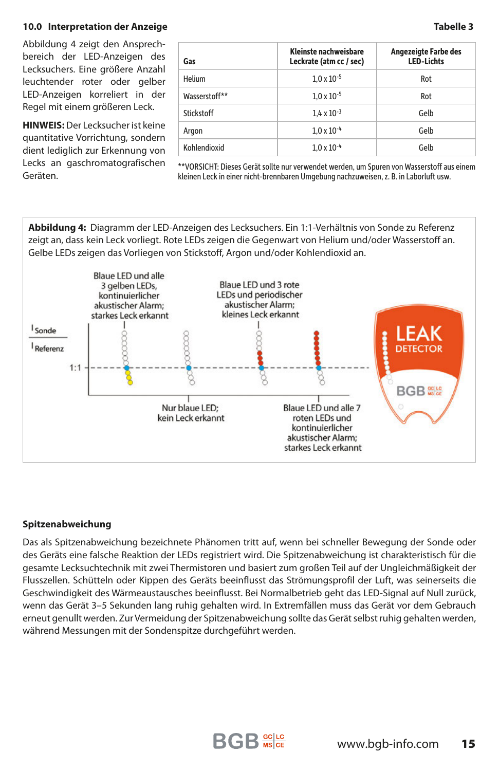#### **10.0 Interpretation der Anzeige**

Abbildung 4 zeigt den Ansprechbereich der LED-Anzeigen des Lecksuchers. Eine größere Anzahl leuchtender roter oder gelber LED-Anzeigen korreliert in der Regel mit einem größeren Leck.

**HINWEIS:** Der Lecksucher ist keine quantitative Vorrichtung, sondern dient lediglich zur Erkennung von Lecks an gaschromatografischen Geräten.

| Gas           | Kleinste nachweisbare<br>Leckrate (atm cc / sec) | <b>Angezeigte Farbe des</b><br><b>LED-Lichts</b> |
|---------------|--------------------------------------------------|--------------------------------------------------|
| <b>Helium</b> | $1.0 \times 10^{-5}$                             | Rot                                              |
| Wasserstoff** | $1.0 \times 10^{-5}$                             | Rot                                              |
| Stickstoff    | $1.4 \times 10^{-3}$                             | Gelb                                             |
| Argon         | $1.0 \times 10^{-4}$                             | Gelb                                             |
| Kohlendioxid  | $1.0 \times 10^{-4}$                             | Gelb                                             |

\*\*VORSICHT: Dieses Gerät sollte nur verwendet werden, um Spuren von Wasserstoff aus einem kleinen Leck in einer nicht-brennbaren Umgebung nachzuweisen, z. B. in Laborluft usw.

**Abbildung 4:** Diagramm der LED-Anzeigen des Lecksuchers. Ein 1:1-Verhältnis von Sonde zu Referenz zeigt an, dass kein Leck vorliegt. Rote LEDs zeigen die Gegenwart von Helium und/oder Wasserstoff an. Gelbe LEDs zeigen das Vorliegen von Stickstoff, Argon und/oder Kohlendioxid an.



#### **Spitzenabweichung**

Das als Spitzenabweichung bezeichnete Phänomen tritt auf, wenn bei schneller Bewegung der Sonde oder des Geräts eine falsche Reaktion der LEDs registriert wird. Die Spitzenabweichung ist charakteristisch für die gesamte Lecksuchtechnik mit zwei Thermistoren und basiert zum großen Teil auf der Ungleichmäßigkeit der Flusszellen. Schütteln oder Kippen des Geräts beeinflusst das Strömungsprofil der Luft, was seinerseits die Geschwindigkeit des Wärmeaustausches beeinflusst. Bei Normalbetrieb geht das LED-Signal auf Null zurück, wenn das Gerät 3–5 Sekunden lang ruhig gehalten wird. In Extremfällen muss das Gerät vor dem Gebrauch erneut genullt werden. Zur Vermeidung der Spitzenabweichung sollte das Gerät selbst ruhig gehalten werden, während Messungen mit der Sondenspitze durchgeführt werden.

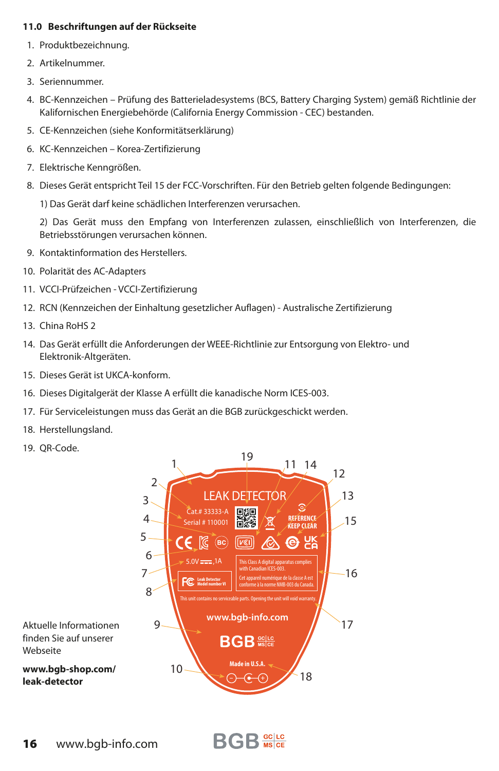#### **11.0 Beschriftungen auf der Rückseite**

- 1. Produktbezeichnung.
- 2. Artikelnummer.
- 3. Seriennummer.
- 4. BC-Kennzeichen Prüfung des Batterieladesystems (BCS, Battery Charging System) gemäß Richtlinie der Kalifornischen Energiebehörde (California Energy Commission - CEC) bestanden.
- 5. CE-Kennzeichen (siehe Konformitätserklärung)
- 6. KC-Kennzeichen Korea-Zertifizierung
- 7. Elektrische Kenngrößen.
- 8. Dieses Gerät entspricht Teil 15 der FCC-Vorschriften. Für den Betrieb gelten folgende Bedingungen:

1) Das Gerät darf keine schädlichen Interferenzen verursachen.

2) Das Gerät muss den Empfang von Interferenzen zulassen, einschließlich von Interferenzen, die Betriebsstörungen verursachen können.

- 9. Kontaktinformation des Herstellers.
- 10. Polarität des AC-Adapters
- 11. VCCI-Prüfzeichen VCCI-Zertifizierung
- 12. RCN (Kennzeichen der Einhaltung gesetzlicher Auflagen) Australische Zertifizierung
- 13. China RoHS 2
- 14. Das Gerät erfüllt die Anforderungen der WEEE-Richtlinie zur Entsorgung von Elektro- und Elektronik-Altgeräten.
- 15. Dieses Gerät ist UKCA-konform.
- 16. Dieses Digitalgerät der Klasse A erfüllt die kanadische Norm ICES-003.
- 17. Für Serviceleistungen muss das Gerät an die BGB zurückgeschickt werden.
- 18. Herstellungsland.
- 19. QR-Code.



Aktuelle Informationen finden Sie auf unserer Webseite

**www.bgb-shop.com/ leak-detector**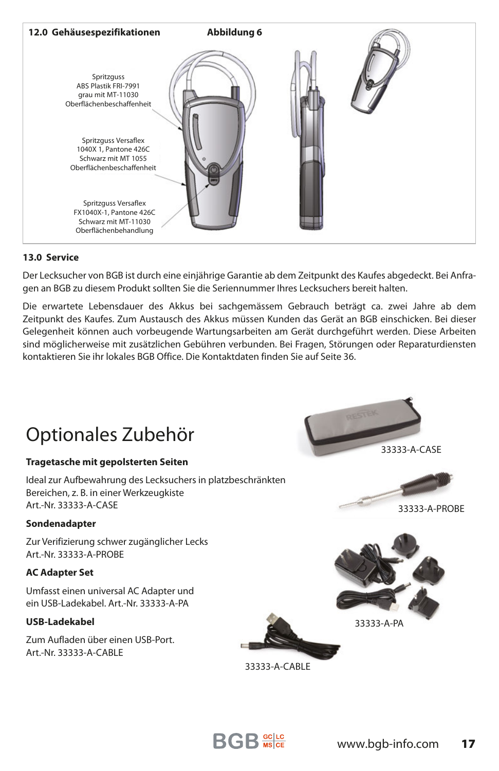

#### **13.0 Service**

Der Lecksucher von BGB ist durch eine einjährige Garantie ab dem Zeitpunkt des Kaufes abgedeckt. Bei Anfragen an BGB zu diesem Produkt sollten Sie die Seriennummer Ihres Lecksuchers bereit halten.

Die erwartete Lebensdauer des Akkus bei sachgemässem Gebrauch beträgt ca. zwei Jahre ab dem Zeitpunkt des Kaufes. Zum Austausch des Akkus müssen Kunden das Gerät an BGB einschicken. Bei dieser Gelegenheit können auch vorbeugende Wartungsarbeiten am Gerät durchgeführt werden. Diese Arbeiten sind möglicherweise mit zusätzlichen Gebühren verbunden. Bei Fragen, Störungen oder Reparaturdiensten kontaktieren Sie ihr lokales BGB Office. Die Kontaktdaten finden Sie auf Seite 36.



**BGB**<sup>SS</sup>

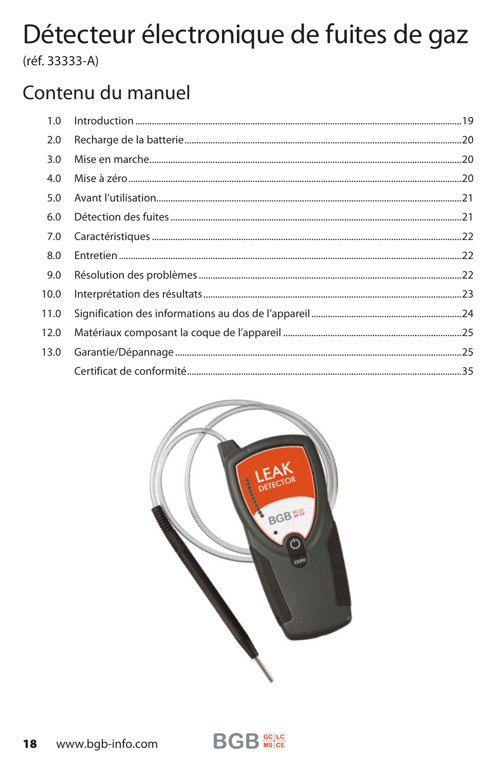# Détecteur électronique de fuites de gaz

(réf. 33333-A)

## Contenu du manuel

| 1.0  |  |
|------|--|
| 2.0  |  |
| 3.0  |  |
| 4.0  |  |
| 5.0  |  |
| 6.0  |  |
| 7.0  |  |
| 8.0  |  |
| 9.0  |  |
| 10.0 |  |
| 11.0 |  |
| 12.0 |  |
| 13.0 |  |
|      |  |
|      |  |

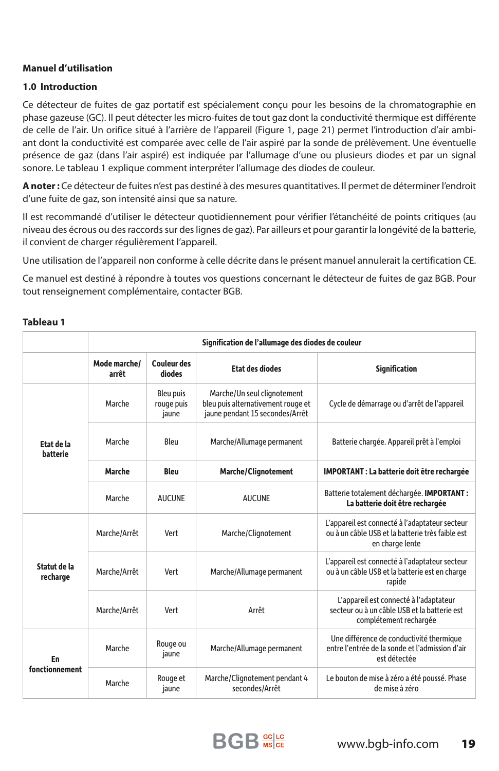#### **Manuel d'utilisation**

#### **1.0 Introduction**

Ce détecteur de fuites de gaz portatif est spécialement conçu pour les besoins de la chromatographie en phase gazeuse (GC). Il peut détecter les micro-fuites de tout gaz dont la conductivité thermique est différente de celle de l'air. Un orifice situé à l'arrière de l'appareil (Figure 1, page 21) permet l'introduction d'air ambiant dont la conductivité est comparée avec celle de l'air aspiré par la sonde de prélèvement. Une éventuelle présence de gaz (dans l'air aspiré) est indiquée par l'allumage d'une ou plusieurs diodes et par un signal sonore. Le tableau 1 explique comment interpréter l'allumage des diodes de couleur.

**A noter :** Ce détecteur de fuites n'est pas destiné à des mesures quantitatives. Il permet de déterminer l'endroit d'une fuite de gaz, son intensité ainsi que sa nature.

Il est recommandé d'utiliser le détecteur quotidiennement pour vérifier l'étanchéité de points critiques (au niveau des écrous ou des raccords sur des lignes de gaz). Par ailleurs et pour garantir la longévité de la batterie, il convient de charger régulièrement l'appareil.

Une utilisation de l'appareil non conforme à celle décrite dans le présent manuel annulerait la certification CE.

Ce manuel est destiné à répondre à toutes vos questions concernant le détecteur de fuites de gaz BGB. Pour tout renseignement complémentaire, contacter BGB.

#### **Tableau 1**

|                               | Signification de l'allumage des diodes de couleur |                                         |                                                                                                      |                                                                                                                       |  |
|-------------------------------|---------------------------------------------------|-----------------------------------------|------------------------------------------------------------------------------------------------------|-----------------------------------------------------------------------------------------------------------------------|--|
|                               | Mode marche/<br>arrêt                             | Couleur des<br>diodes                   | <b>Etat des diodes</b>                                                                               | <b>Signification</b>                                                                                                  |  |
|                               | Marche                                            | <b>Bleu puis</b><br>rouge puis<br>jaune | Marche/Un seul clignotement<br>bleu puis alternativement rouge et<br>jaune pendant 15 secondes/Arrêt | Cycle de démarrage ou d'arrêt de l'appareil                                                                           |  |
| Etat de la<br><b>batterie</b> | Marche                                            | Bleu                                    | Marche/Allumage permanent                                                                            | Batterie chargée. Appareil prêt à l'emploi                                                                            |  |
|                               | Marche                                            | Bleu                                    | <b>Marche/Clignotement</b>                                                                           | <b>IMPORTANT : La batterie doit être rechargée</b>                                                                    |  |
|                               | Marche                                            | <b>AUCUNE</b>                           | <b>AUCUNE</b>                                                                                        | Batterie totalement déchargée. IMPORTANT :<br>La batterie doit être rechargée                                         |  |
|                               | Marche/Arrêt                                      | Vert                                    | Marche/Clignotement                                                                                  | L'appareil est connecté à l'adaptateur secteur<br>ou à un câble USB et la batterie très faible est<br>en charge lente |  |
| Statut de la<br>recharge      | Marche/Arrêt                                      | Vert                                    | Marche/Allumage permanent                                                                            | L'appareil est connecté à l'adaptateur secteur<br>ou à un câble USB et la batterie est en charge<br>rapide            |  |
|                               | Marche/Arrêt                                      | Vert                                    | Arrêt                                                                                                | L'appareil est connecté à l'adaptateur<br>secteur ou à un câble USB et la batterie est<br>complétement rechargée      |  |
| En                            | Marche                                            | Rouge ou<br>jaune                       | Marche/Allumage permanent                                                                            | Une différence de conductivité thermique<br>entre l'entrée de la sonde et l'admission d'air<br>est détectée           |  |
| fonctionnement                | Marche                                            | Rouge et<br>jaune                       | Marche/Clignotement pendant 4<br>secondes/Arrêt                                                      | Le bouton de mise à zéro a été poussé. Phase<br>de mise à zéro                                                        |  |

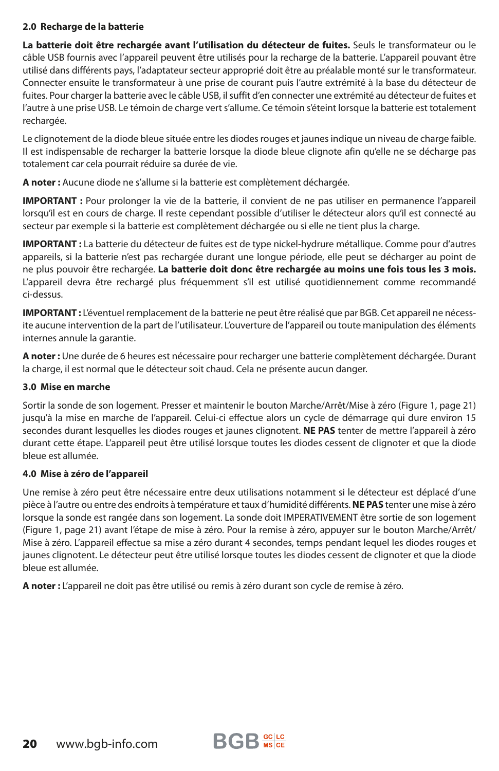#### **2.0 Recharge de la batterie**

La batterie doit être rechargée avant l'utilisation du détecteur de fuites. Seuls le transformateur ou le câble USB fournis avec l'appareil peuvent être utilisés pour la recharge de la batterie. L'appareil pouvant être utilisé dans différents pays, l'adaptateur secteur approprié doit être au préalable monté sur le transformateur. Connecter ensuite le transformateur à une prise de courant puis l'autre extrémité à la base du détecteur de fuites. Pour charger la batterie avec le câble USB, il suffit d'en connecter une extrémité au détecteur de fuites et l'autre à une prise USB. Le témoin de charge vert s'allume. Ce témoin s'éteint lorsque la batterie est totalement rechargée.

Le clignotement de la diode bleue située entre les diodes rouges et jaunes indique un niveau de charge faible. Il est indispensable de recharger la batterie lorsque la diode bleue clignote afin qu'elle ne se décharge pas totalement car cela pourrait réduire sa durée de vie.

**A noter :** Aucune diode ne s'allume si la batterie est complètement déchargée.

**IMPORTANT :** Pour prolonger la vie de la batterie, il convient de ne pas utiliser en permanence l'appareil lorsqu'il est en cours de charge. Il reste cependant possible d'utiliser le détecteur alors qu'il est connecté au secteur par exemple si la batterie est complètement déchargée ou si elle ne tient plus la charge.

**IMPORTANT :** La batterie du détecteur de fuites est de type nickel-hydrure métallique. Comme pour d'autres appareils, si la batterie n'est pas rechargée durant une longue période, elle peut se décharger au point de ne plus pouvoir être rechargée. **La batterie doit donc être rechargée au moins une fois tous les 3 mois.**  L'appareil devra être rechargé plus fréquemment s'il est utilisé quotidiennement comme recommandé ci-dessus.

**IMPORTANT :** L'éventuel remplacement de la batterie ne peut être réalisé que par BGB. Cet appareil ne nécessite aucune intervention de la part de l'utilisateur. L'ouverture de l'appareil ou toute manipulation des éléments internes annule la garantie.

**A noter :** Une durée de 6 heures est nécessaire pour recharger une batterie complètement déchargée. Durant la charge, il est normal que le détecteur soit chaud. Cela ne présente aucun danger.

#### **3.0 Mise en marche**

Sortir la sonde de son logement. Presser et maintenir le bouton Marche/Arrêt/Mise à zéro (Figure 1, page 21) jusqu'à la mise en marche de l'appareil. Celui-ci effectue alors un cycle de démarrage qui dure environ 15 secondes durant lesquelles les diodes rouges et jaunes clignotent. **NE PAS** tenter de mettre l'appareil à zéro durant cette étape. L'appareil peut être utilisé lorsque toutes les diodes cessent de clignoter et que la diode bleue est allumée.

#### **4.0 Mise à zéro de l'appareil**

Une remise à zéro peut être nécessaire entre deux utilisations notamment si le détecteur est déplacé d'une pièce à l'autre ou entre des endroits à température et taux d'humidité différents. **NE PAS** tenter une mise à zéro lorsque la sonde est rangée dans son logement. La sonde doit IMPERATIVEMENT être sortie de son logement (Figure 1, page 21) avant l'étape de mise à zéro. Pour la remise à zéro, appuyer sur le bouton Marche/Arrêt/ Mise à zéro. L'appareil effectue sa mise a zéro durant 4 secondes, temps pendant lequel les diodes rouges et jaunes clignotent. Le détecteur peut être utilisé lorsque toutes les diodes cessent de clignoter et que la diode bleue est allumée.

**A noter :** L'appareil ne doit pas être utilisé ou remis à zéro durant son cycle de remise à zéro.

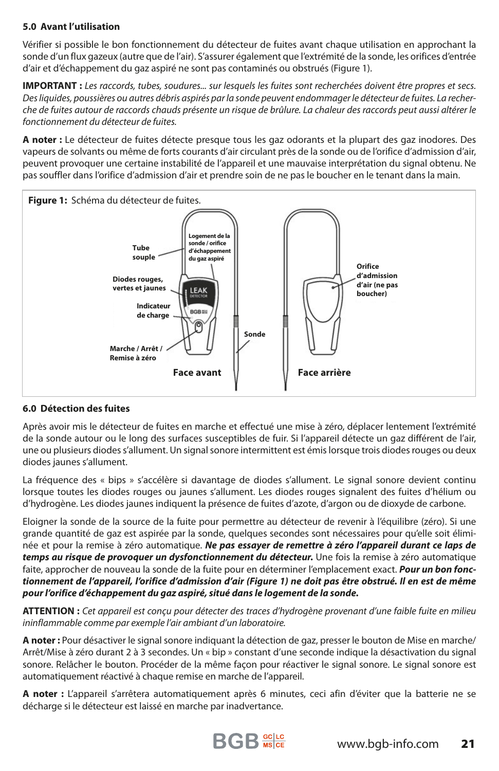#### **5.0 Avant l'utilisation**

Vérifier si possible le bon fonctionnement du détecteur de fuites avant chaque utilisation en approchant la sonde d'un flux gazeux (autre que de l'air). S'assurer également que l'extrémité de la sonde, les orifices d'entrée d'air et d'échappement du gaz aspiré ne sont pas contaminés ou obstrués (Figure 1).

**IMPORTANT :** *Les raccords, tubes, soudures... sur lesquels les fuites sont recherchées doivent être propres et secs. Des liquides, poussières ou autres débris aspirés par la sonde peuvent endommager le détecteur de fuites. La recherche de fuites autour de raccords chauds présente un risque de brûlure. La chaleur des raccords peut aussi altérer le fonctionnement du détecteur de fuites.*

**A noter :** Le détecteur de fuites détecte presque tous les gaz odorants et la plupart des gaz inodores. Des vapeurs de solvants ou même de forts courants d'air circulant près de la sonde ou de l'orifice d'admission d'air, peuvent provoquer une certaine instabilité de l'appareil et une mauvaise interprétation du signal obtenu. Ne pas souffler dans l'orifice d'admission d'air et prendre soin de ne pas le boucher en le tenant dans la main.



#### **6.0 Détection des fuites**

Après avoir mis le détecteur de fuites en marche et effectué une mise à zéro, déplacer lentement l'extrémité de la sonde autour ou le long des surfaces susceptibles de fuir. Si l'appareil détecte un gaz différent de l'air, une ou plusieurs diodes s'allument. Un signal sonore intermittent est émis lorsque trois diodes rouges ou deux diodes jaunes s'allument.

La fréquence des « bips » s'accélère si davantage de diodes s'allument. Le signal sonore devient continu lorsque toutes les diodes rouges ou jaunes s'allument. Les diodes rouges signalent des fuites d'hélium ou d'hydrogène. Les diodes jaunes indiquent la présence de fuites d'azote, d'argon ou de dioxyde de carbone.

Eloigner la sonde de la source de la fuite pour permettre au détecteur de revenir à l'équilibre (zéro). Si une grande quantité de gaz est aspirée par la sonde, quelques secondes sont nécessaires pour qu'elle soit éliminée et pour la remise à zéro automatique. *Ne pas essayer de remettre à zéro l'appareil durant ce laps de*  temps au risque de provoquer un dysfonctionnement du détecteur. Une fois la remise à zéro automatique faite, approcher de nouveau la sonde de la fuite pour en déterminer l'emplacement exact. *Pour un bon fonctionnement de l'appareil, l'orifice d'admission d'air (Figure 1) ne doit pas être obstrué. Il en est de même pour l'orifice d'échappement du gaz aspiré, situé dans le logement de la sonde.*

**ATTENTION :** *Cet appareil est conçu pour détecter des traces d'hydrogène provenant d'une faible fuite en milieu ininflammable comme par exemple l'air ambiant d'un laboratoire.* 

**A noter :** Pour désactiver le signal sonore indiquant la détection de gaz, presser le bouton de Mise en marche/ Arrêt/Mise à zéro durant 2 à 3 secondes. Un « bip » constant d'une seconde indique la désactivation du signal sonore. Relâcher le bouton. Procéder de la même façon pour réactiver le signal sonore. Le signal sonore est automatiquement réactivé à chaque remise en marche de l'appareil.

**A noter :** L'appareil s'arrêtera automatiquement après 6 minutes, ceci afin d'éviter que la batterie ne se décharge si le détecteur est laissé en marche par inadvertance.

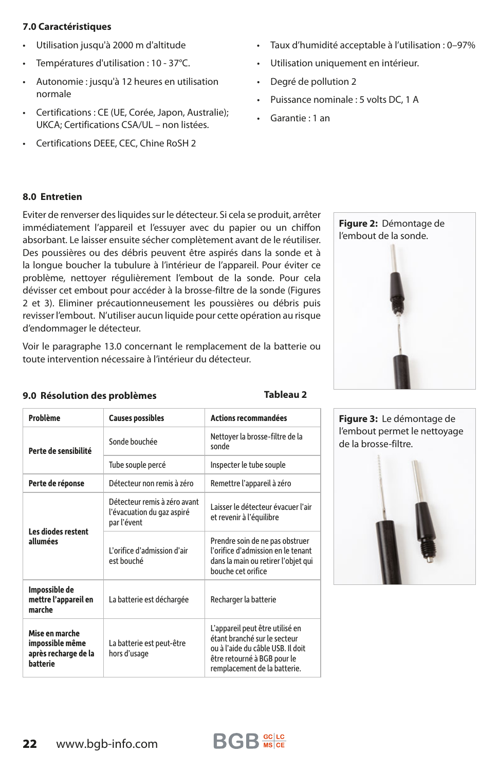#### **7.0 Caractéristiques**

- Utilisation jusqu'à 2000 m d'altitude
- Températures d'utilisation : 10 37°C.
- Autonomie : jusqu'à 12 heures en utilisation normale
- Certifications : CE (UE, Corée, Japon, Australie); UKCA; Certifications CSA/UL – non listées.
- Certifications DEEE, CEC, Chine RoSH 2
- Taux d'humidité acceptable à l'utilisation : 0–97%
- Utilisation uniquement en intérieur.
- Degré de pollution 2
- Puissance nominale : 5 volts DC, 1 A
- Garantie : 1 an

#### **8.0 Entretien**

Eviter de renverser des liquides sur le détecteur. Si cela se produit, arrêter immédiatement l'appareil et l'essuyer avec du papier ou un chiffon absorbant. Le laisser ensuite sécher complètement avant de le réutiliser. Des poussières ou des débris peuvent être aspirés dans la sonde et à la longue boucher la tubulure à l'intérieur de l'appareil. Pour éviter ce problème, nettoyer régulièrement l'embout de la sonde. Pour cela dévisser cet embout pour accéder à la brosse-filtre de la sonde (Figures 2 et 3). Eliminer précautionneusement les poussières ou débris puis revisser l'embout. N'utiliser aucun liquide pour cette opération au risque d'endommager le détecteur.

Voir le paragraphe 13.0 concernant le remplacement de la batterie ou toute intervention nécessaire à l'intérieur du détecteur.



#### **9.0 Résolution des problèmes**

#### **Tableau 2**

| Problème                                                              | <b>Causes possibles</b>                                                   | <b>Actions recommandées</b>                                                                                                                                         |
|-----------------------------------------------------------------------|---------------------------------------------------------------------------|---------------------------------------------------------------------------------------------------------------------------------------------------------------------|
| Perte de sensibilité                                                  | Sonde bouchée                                                             | Nettoyer la brosse-filtre de la<br>sonde                                                                                                                            |
|                                                                       | Tube souple percé                                                         | Inspecter le tube souple                                                                                                                                            |
| Perte de réponse                                                      | Détecteur non remis à zéro                                                | Remettre l'appareil à zéro                                                                                                                                          |
| Les diodes restent                                                    | Détecteur remis à zéro avant<br>l'évacuation du gaz aspiré<br>par l'évent | Laisser le détecteur évacuer l'air<br>et revenir à l'équilibre                                                                                                      |
| allumées                                                              | L'orifice d'admission d'air<br>est houché                                 | Prendre soin de ne pas obstruer<br>l'orifice d'admission en le tenant<br>dans la main ou retirer l'objet qui<br>houche cet orifice                                  |
| Impossible de<br>mettre l'appareil en<br>marche                       | La batterie est déchargée                                                 | Recharger la batterie                                                                                                                                               |
| Mise en marche<br>impossible même<br>après recharge de la<br>batterie | La batterie est peut-être<br>hors d'usage                                 | L'appareil peut être utilisé en<br>étant branché sur le secteur<br>ou à l'aide du câble USB. Il doit<br>être retourné à BGB pour le<br>remplacement de la batterie. |





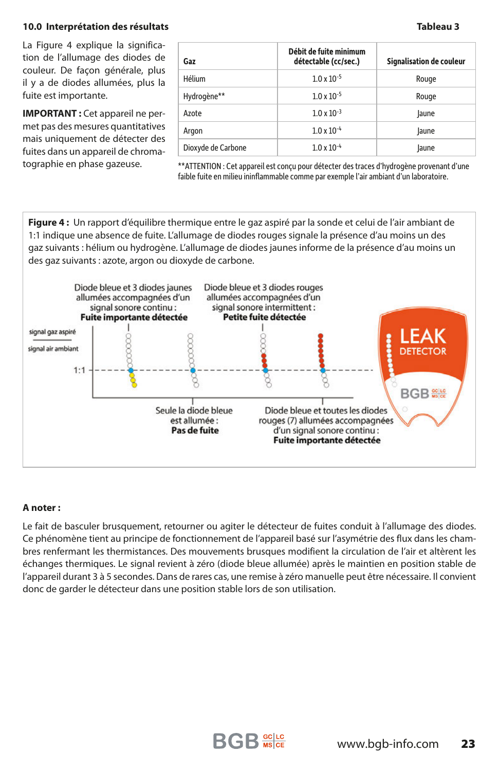#### **10.0 Interprétation des résultats**

La Figure 4 explique la signification de l'allumage des diodes de couleur. De façon générale, plus il y a de diodes allumées, plus la fuite est importante.

**IMPORTANT :** Cet appareil ne permet pas des mesures quantitatives mais uniquement de détecter des fuites dans un appareil de chromatographie en phase gazeuse.

| Gaz                | Débit de fuite minimum<br>détectable (cc/sec.) | Signalisation de couleur |
|--------------------|------------------------------------------------|--------------------------|
| Hélium             | $1.0 \times 10^{-5}$                           | Rouge                    |
| Hydrogène**        | $1.0 \times 10^{-5}$                           | Rouge                    |
| Azote              | $1.0 \times 10^{-3}$                           | Jaune                    |
| Argon              | $1.0 \times 10^{-4}$                           | Jaune                    |
| Dioxyde de Carbone | $1.0 \times 10^{-4}$                           | Jaune                    |

\*\*ATTENTION : Cet appareil est conçu pour détecter des traces d'hydrogène provenant d'une faible fuite en milieu ininflammable comme par exemple l'air ambiant d'un laboratoire.

**Figure 4 :** Un rapport d'équilibre thermique entre le gaz aspiré par la sonde et celui de l'air ambiant de 1:1 indique une absence de fuite. L'allumage de diodes rouges signale la présence d'au moins un des gaz suivants : hélium ou hydrogène. L'allumage de diodes jaunes informe de la présence d'au moins un des gaz suivants : azote, argon ou dioxyde de carbone.



#### **A noter :**

Le fait de basculer brusquement, retourner ou agiter le détecteur de fuites conduit à l'allumage des diodes. Ce phénomène tient au principe de fonctionnement de l'appareil basé sur l'asymétrie des flux dans les chambres renfermant les thermistances. Des mouvements brusques modifient la circulation de l'air et altèrent les échanges thermiques. Le signal revient à zéro (diode bleue allumée) après le maintien en position stable de l'appareil durant 3 à 5 secondes. Dans de rares cas, une remise à zéro manuelle peut être nécessaire. Il convient donc de garder le détecteur dans une position stable lors de son utilisation.

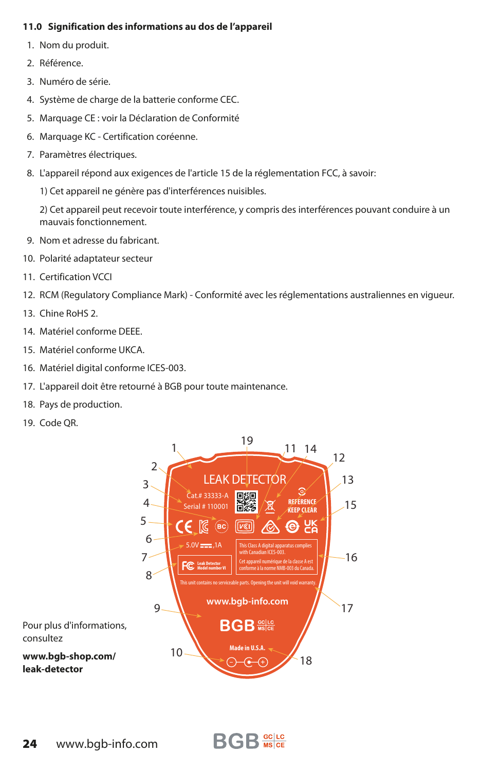#### **11.0 Signification des informations au dos de l'appareil**

- 1. Nom du produit.
- 2. Référence.
- 3. Numéro de série.
- 4. Système de charge de la batterie conforme CEC.
- 5. Marquage CE : voir la Déclaration de Conformité
- 6. Marquage KC Certification coréenne.
- 7. Paramètres électriques.
- 8. L'appareil répond aux exigences de l'article 15 de la réglementation FCC, à savoir:

1) Cet appareil ne génère pas d'interférences nuisibles.

2) Cet appareil peut recevoir toute interférence, y compris des interférences pouvant conduire à un mauvais fonctionnement.

- 9. Nom et adresse du fabricant.
- 10. Polarité adaptateur secteur
- 11. Certification VCCI
- 12. RCM (Regulatory Compliance Mark) Conformité avec les réglementations australiennes en vigueur.
- 13. Chine RoHS 2.
- 14. Matériel conforme DEEE.
- 15. Matériel conforme UKCA.
- 16. Matériel digital conforme ICES-003.
- 17. L'appareil doit être retourné à BGB pour toute maintenance.
- 18. Pays de production.
- 19. Code QR.

consultez



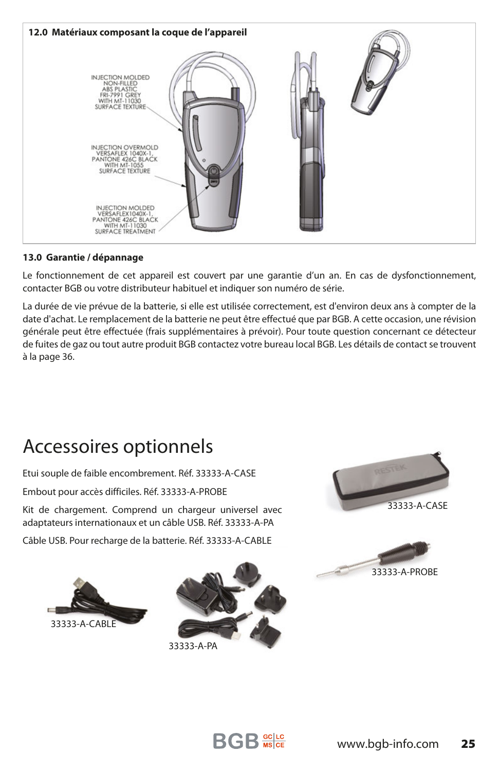

#### **13.0 Garantie / dépannage**

Le fonctionnement de cet appareil est couvert par une garantie d'un an. En cas de dysfonctionnement, contacter BGB ou votre distributeur habituel et indiquer son numéro de série.

La durée de vie prévue de la batterie, si elle est utilisée correctement, est d'environ deux ans à compter de la date d'achat. Le remplacement de la batterie ne peut être effectué que par BGB. A cette occasion, une révision générale peut être effectuée (frais supplémentaires à prévoir). Pour toute question concernant ce détecteur de fuites de gaz ou tout autre produit BGB contactez votre bureau local BGB. Les détails de contact se trouvent à la page 36.

### Accessoires optionnels

Etui souple de faible encombrement. Réf. 33333-A-CASE

Embout pour accès difficiles. Réf. 33333-A-PROBE

Kit de chargement. Comprend un chargeur universel avec adaptateurs internationaux et un câble USB. Réf. 33333-A-PA

Câble USB. Pour recharge de la batterie. Réf. 33333-A-CABLE









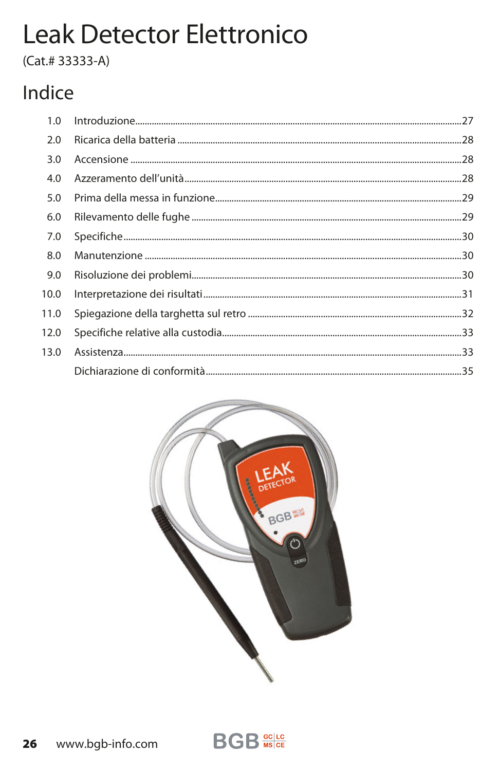## **Leak Detector Elettronico**

(Cat.# 33333-A)

### Indice

| 1.0  |  |
|------|--|
| 2.0  |  |
| 3.0  |  |
| 4.0  |  |
| 5.0  |  |
| 6.0  |  |
| 7.0  |  |
| 8.0  |  |
| 9.0  |  |
| 10.0 |  |
| 11.0 |  |
| 12.0 |  |
| 13.0 |  |
|      |  |
|      |  |



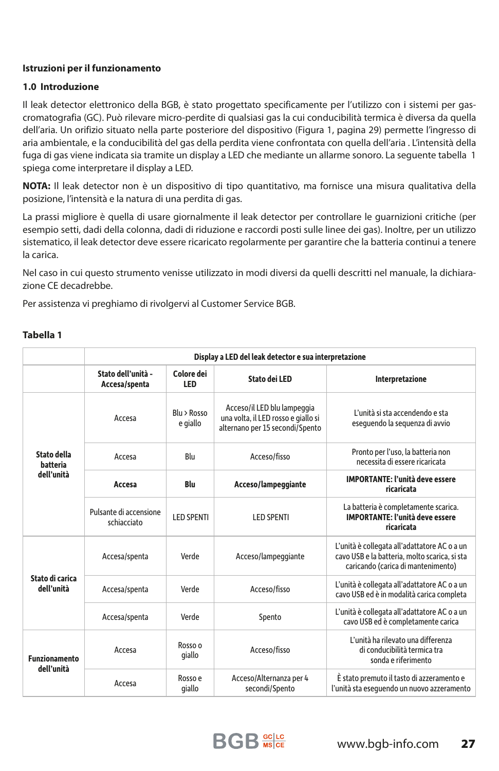#### **Istruzioni per il funzionamento**

#### **1.0 Introduzione**

Il leak detector elettronico della BGB, è stato progettato specificamente per l'utilizzo con i sistemi per gascromatografia (GC). Può rilevare micro-perdite di qualsiasi gas la cui conducibilità termica è diversa da quella dell'aria. Un orifizio situato nella parte posteriore del dispositivo (Figura 1, pagina 29) permette l'ingresso di aria ambientale, e la conducibilità del gas della perdita viene confrontata con quella dell'aria . L'intensità della fuga di gas viene indicata sia tramite un display a LED che mediante un allarme sonoro. La seguente tabella 1 spiega come interpretare il display a LED.

**NOTA:** Il leak detector non è un dispositivo di tipo quantitativo, ma fornisce una misura qualitativa della posizione, l'intensità e la natura di una perdita di gas.

La prassi migliore è quella di usare giornalmente il leak detector per controllare le guarnizioni critiche (per esempio setti, dadi della colonna, dadi di riduzione e raccordi posti sulle linee dei gas). Inoltre, per un utilizzo sistematico, il leak detector deve essere ricaricato regolarmente per garantire che la batteria continui a tenere la carica.

Nel caso in cui questo strumento venisse utilizzato in modi diversi da quelli descritti nel manuale, la dichiarazione CE decadrebbe.

Per assistenza vi preghiamo di rivolgervi al Customer Service BGB.

#### **Tabella 1**

|                                    | Display a LED del leak detector e sua interpretazione |                                  |                                                                                                       |                                                                                                                                     |  |
|------------------------------------|-------------------------------------------------------|----------------------------------|-------------------------------------------------------------------------------------------------------|-------------------------------------------------------------------------------------------------------------------------------------|--|
|                                    | Stato dell'unità -<br>Accesa/spenta                   | Colore dei<br><b>LED</b>         | Stato dei LED                                                                                         | Interpretazione                                                                                                                     |  |
|                                    | Accesa                                                | <b>Blu&gt; Rosso</b><br>e giallo | Acceso/il LED blu lampeggia<br>una volta, il LED rosso e giallo si<br>alternano per 15 secondi/Spento | L'unità si sta accendendo e sta<br>esequendo la sequenza di avvio                                                                   |  |
| Stato della<br>batteria            | Accesa                                                | Blu                              | Acceso/fisso                                                                                          | Pronto per l'uso, la batteria non<br>necessita di essere ricaricata                                                                 |  |
| dell'unità                         | Accesa                                                | Blu                              | Acceso/lampeggiante                                                                                   | <b>IMPORTANTE: l'unità deve essere</b><br>ricaricata                                                                                |  |
|                                    | Pulsante di accensione<br>schiacciato                 | <b>I FD SPENTI</b>               | <b>LED SPENTI</b>                                                                                     | La batteria è completamente scarica.<br><b>IMPORTANTE: l'unità deve essere</b><br>ricaricata                                        |  |
|                                    | Accesa/spenta                                         | Verde                            | Acceso/lampeggiante                                                                                   | L'unità è collegata all'adattatore AC o a un<br>cavo USB e la batteria, molto scarica, si sta<br>caricando (carica di mantenimento) |  |
| Stato di carica<br>dell'unità      | Accesa/spenta                                         | Verde                            | Acceso/fisso                                                                                          | L'unità è collegata all'adattatore AC o a un<br>cavo USB ed è in modalità carica completa                                           |  |
|                                    | Accesa/spenta                                         | Verde                            | Spento                                                                                                | L'unità è collegata all'adattatore AC o a un<br>cavo USB ed è completamente carica                                                  |  |
| <b>Funzionamento</b><br>dell'unità | Accesa                                                | Rosso o<br>giallo                | Acceso/fisso                                                                                          | L'unità ha rilevato una differenza<br>di conducibilità termica tra<br>sonda e riferimento                                           |  |
|                                    | Accesa                                                | Rosso e<br>giallo                | Acceso/Alternanza per 4<br>secondi/Spento                                                             | È stato premuto il tasto di azzeramento e<br>l'unità sta eseguendo un nuovo azzeramento                                             |  |

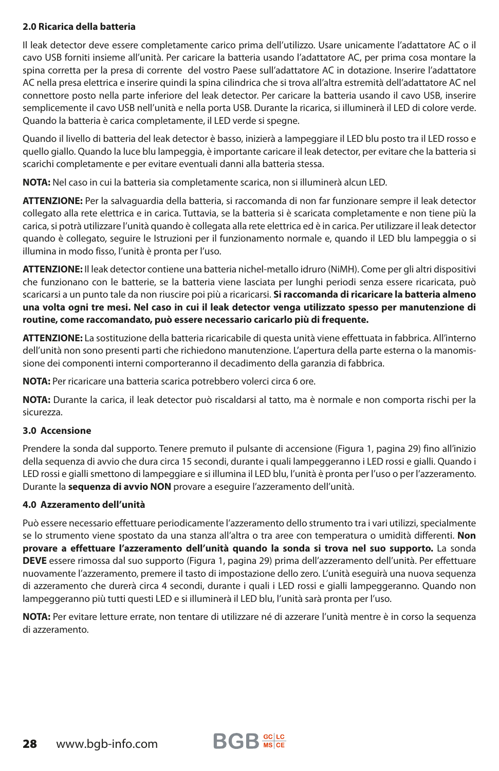#### **2.0 Ricarica della batteria**

Il leak detector deve essere completamente carico prima dell'utilizzo. Usare unicamente l'adattatore AC o il cavo USB forniti insieme all'unità. Per caricare la batteria usando l'adattatore AC, per prima cosa montare la spina corretta per la presa di corrente del vostro Paese sull'adattatore AC in dotazione. Inserire l'adattatore AC nella presa elettrica e inserire quindi la spina cilindrica che si trova all'altra estremità dell'adattatore AC nel connettore posto nella parte inferiore del leak detector. Per caricare la batteria usando il cavo USB, inserire semplicemente il cavo USB nell'unità e nella porta USB. Durante la ricarica, si illuminerà il LED di colore verde. Quando la batteria è carica completamente, il LED verde si spegne.

Quando il livello di batteria del leak detector è basso, inizierà a lampeggiare il LED blu posto tra il LED rosso e quello giallo. Quando la luce blu lampeggia, è importante caricare il leak detector, per evitare che la batteria si scarichi completamente e per evitare eventuali danni alla batteria stessa.

**NOTA:** Nel caso in cui la batteria sia completamente scarica, non si illuminerà alcun LED.

**ATTENZIONE:** Per la salvaguardia della batteria, si raccomanda di non far funzionare sempre il leak detector collegato alla rete elettrica e in carica. Tuttavia, se la batteria si è scaricata completamente e non tiene più la carica, si potrà utilizzare l'unità quando è collegata alla rete elettrica ed è in carica. Per utilizzare il leak detector quando è collegato, seguire le Istruzioni per il funzionamento normale e, quando il LED blu lampeggia o si illumina in modo fisso, l'unità è pronta per l'uso.

**ATTENZIONE:** Il leak detector contiene una batteria nichel-metallo idruro (NiMH). Come per gli altri dispositivi che funzionano con le batterie, se la batteria viene lasciata per lunghi periodi senza essere ricaricata, può scaricarsi a un punto tale da non riuscire poi più a ricaricarsi. **Si raccomanda di ricaricare la batteria almeno una volta ogni tre mesi. Nel caso in cui il leak detector venga utilizzato spesso per manutenzione di routine, come raccomandato, può essere necessario caricarlo più di frequente.**

**ATTENZIONE:** La sostituzione della batteria ricaricabile di questa unità viene effettuata in fabbrica. All'interno dell'unità non sono presenti parti che richiedono manutenzione. L'apertura della parte esterna o la manomissione dei componenti interni comporteranno il decadimento della garanzia di fabbrica.

**NOTA:** Per ricaricare una batteria scarica potrebbero volerci circa 6 ore.

**NOTA:** Durante la carica, il leak detector può riscaldarsi al tatto, ma è normale e non comporta rischi per la sicurezza.

#### **3.0 Accensione**

Prendere la sonda dal supporto. Tenere premuto il pulsante di accensione (Figura 1, pagina 29) fino all'inizio della sequenza di avvio che dura circa 15 secondi, durante i quali lampeggeranno i LED rossi e gialli. Quando i LED rossi e gialli smettono di lampeggiare e si illumina il LED blu, l'unità è pronta per l'uso o per l'azzeramento. Durante la **sequenza di avvio NON** provare a eseguire l'azzeramento dell'unità.

#### **4.0 Azzeramento dell'unità**

Può essere necessario effettuare periodicamente l'azzeramento dello strumento tra i vari utilizzi, specialmente se lo strumento viene spostato da una stanza all'altra o tra aree con temperatura o umidità differenti. **Non provare a effettuare l'azzeramento dell'unità quando la sonda si trova nel suo supporto.** La sonda **DEVE** essere rimossa dal suo supporto (Figura 1, pagina 29) prima dell'azzeramento dell'unità. Per effettuare nuovamente l'azzeramento, premere il tasto di impostazione dello zero. L'unità eseguirà una nuova sequenza di azzeramento che durerà circa 4 secondi, durante i quali i LED rossi e gialli lampeggeranno. Quando non lampeggeranno più tutti questi LED e si illuminerà il LED blu, l'unità sarà pronta per l'uso.

**NOTA:** Per evitare letture errate, non tentare di utilizzare né di azzerare l'unità mentre è in corso la sequenza di azzeramento.

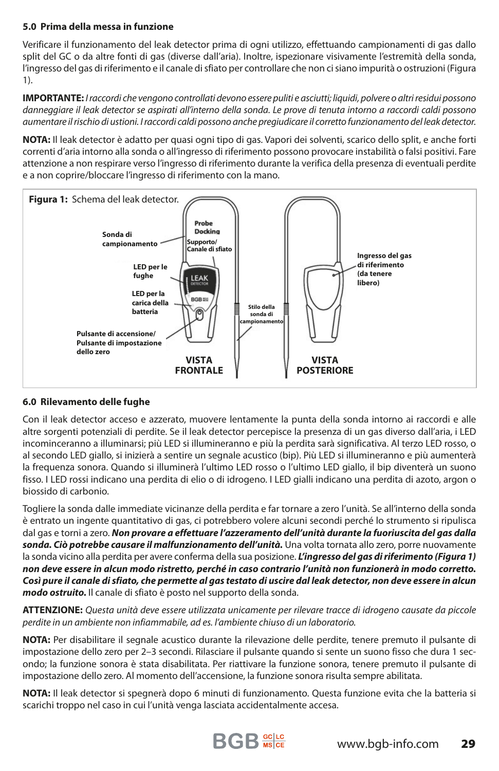#### **5.0 Prima della messa in funzione**

Verificare il funzionamento del leak detector prima di ogni utilizzo, effettuando campionamenti di gas dallo split del GC o da altre fonti di gas (diverse dall'aria). Inoltre, ispezionare visivamente l'estremità della sonda, l'ingresso del gas di riferimento e il canale di sfiato per controllare che non ci siano impurità o ostruzioni (Figura 1).

**IMPORTANTE:** *I raccordi che vengono controllati devono essere puliti e asciutti; liquidi, polvere o altri residui possono danneggiare il leak detector se aspirati all'interno della sonda. Le prove di tenuta intorno a raccordi caldi possono aumentare il rischio di ustioni. I raccordi caldi possono anche pregiudicare il corretto funzionamento del leak detector.*

**NOTA:** Il leak detector è adatto per quasi ogni tipo di gas. Vapori dei solventi, scarico dello split, e anche forti correnti d'aria intorno alla sonda o all'ingresso di riferimento possono provocare instabilità o falsi positivi. Fare attenzione a non respirare verso l'ingresso di riferimento durante la verifica della presenza di eventuali perdite e a non coprire/bloccare l'ingresso di riferimento con la mano.



#### **6.0 Rilevamento delle fughe**

Con il leak detector acceso e azzerato, muovere lentamente la punta della sonda intorno ai raccordi e alle altre sorgenti potenziali di perdite. Se il leak detector percepisce la presenza di un gas diverso dall'aria, i LED incominceranno a illuminarsi; più LED si illumineranno e più la perdita sarà significativa. Al terzo LED rosso, o al secondo LED giallo, si inizierà a sentire un segnale acustico (bip). Più LED si illumineranno e più aumenterà la frequenza sonora. Quando si illuminerà l'ultimo LED rosso o l'ultimo LED giallo, il bip diventerà un suono fisso. I LED rossi indicano una perdita di elio o di idrogeno. I LED gialli indicano una perdita di azoto, argon o biossido di carbonio.

Togliere la sonda dalle immediate vicinanze della perdita e far tornare a zero l'unità. Se all'interno della sonda è entrato un ingente quantitativo di gas, ci potrebbero volere alcuni secondi perché lo strumento si ripulisca dal gas e torni a zero. *Non provare a effettuare l'azzeramento dell'unità durante la fuoriuscita del gas dalla sonda. Ciò potrebbe causare il malfunzionamento dell'unità.* Una volta tornata allo zero, porre nuovamente la sonda vicino alla perdita per avere conferma della sua posizione. *L'ingresso del gas di riferimento (Figura 1) non deve essere in alcun modo ristretto, perché in caso contrario l'unità non funzionerà in modo corretto. Così pure il canale di sfiato, che permette al gas testato di uscire dal leak detector, non deve essere in alcun modo ostruito.* Il canale di sfiato è posto nel supporto della sonda.

**ATTENZIONE:** *Questa unità deve essere utilizzata unicamente per rilevare tracce di idrogeno causate da piccole perdite in un ambiente non infiammabile, ad es. l'ambiente chiuso di un laboratorio.*

**NOTA:** Per disabilitare il segnale acustico durante la rilevazione delle perdite, tenere premuto il pulsante di impostazione dello zero per 2–3 secondi. Rilasciare il pulsante quando si sente un suono fisso che dura 1 secondo; la funzione sonora è stata disabilitata. Per riattivare la funzione sonora, tenere premuto il pulsante di impostazione dello zero. Al momento dell'accensione, la funzione sonora risulta sempre abilitata.

**NOTA:** Il leak detector si spegnerà dopo 6 minuti di funzionamento. Questa funzione evita che la batteria si scarichi troppo nel caso in cui l'unità venga lasciata accidentalmente accesa.

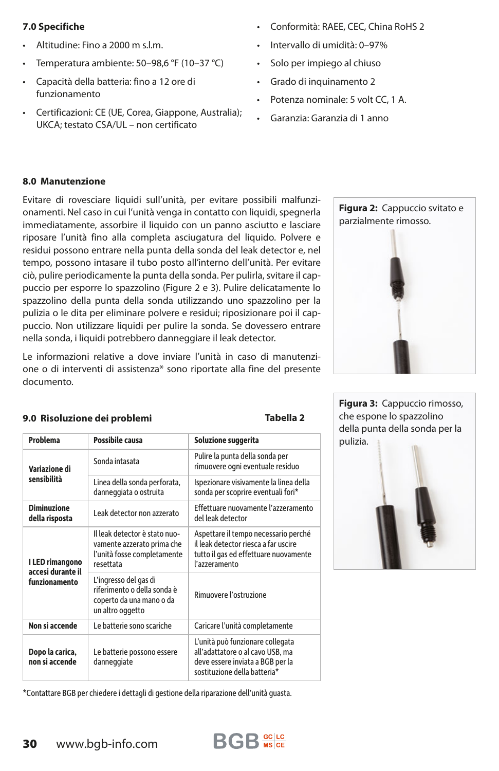#### **7.0 Specifiche**

- Altitudine: Fino a 2000 m s.l.m.
- Temperatura ambiente: 50–98,6 °F (10–37 °C)
- Capacità della batteria: fino a 12 ore di funzionamento
- Certificazioni: CE (UE, Corea, Giappone, Australia); UKCA; testato CSA/UL – non certificato
- Conformità: RAEE, CEC, China RoHS 2
- Intervallo di umidità: 0–97%
- Solo per impiego al chiuso
- Grado di inquinamento 2
- Potenza nominale: 5 volt CC, 1 A.
- Garanzia: Garanzia di 1 anno

#### **8.0 Manutenzione**

Evitare di rovesciare liquidi sull'unità, per evitare possibili malfunzionamenti. Nel caso in cui l'unità venga in contatto con liquidi, spegnerla immediatamente, assorbire il liquido con un panno asciutto e lasciare riposare l'unità fino alla completa asciugatura del liquido. Polvere e residui possono entrare nella punta della sonda del leak detector e, nel tempo, possono intasare il tubo posto all'interno dell'unità. Per evitare ciò, pulire periodicamente la punta della sonda. Per pulirla, svitare il cappuccio per esporre lo spazzolino (Figure 2 e 3). Pulire delicatamente lo spazzolino della punta della sonda utilizzando uno spazzolino per la pulizia o le dita per eliminare polvere e residui; riposizionare poi il cappuccio. Non utilizzare liquidi per pulire la sonda. Se dovessero entrare nella sonda, i liquidi potrebbero danneggiare il leak detector.

Le informazioni relative a dove inviare l'unità in caso di manutenzione o di interventi di assistenza\* sono riportate alla fine del presente documento.





#### **9.0 Risoluzione dei problemi**

**Tabella 2**

| Problema                             | <b>Possibile causa</b>                                                                                  | Soluzione suggerita                                                                                                                      |  |
|--------------------------------------|---------------------------------------------------------------------------------------------------------|------------------------------------------------------------------------------------------------------------------------------------------|--|
| Variazione di                        | Sonda intasata                                                                                          | Pulire la punta della sonda per<br>rimuovere ogni eventuale residuo                                                                      |  |
| sensibilità                          | Linea della sonda perforata,<br>danneggiata o ostruita                                                  | Ispezionare visivamente la linea della<br>sonda per scoprire eventuali fori*                                                             |  |
| <b>Diminuzione</b><br>della risposta | Leak detector non azzerato                                                                              | Effettuare nuovamente l'azzeramento<br>del leak detector                                                                                 |  |
| I LED rimangono<br>accesi durante il | Il leak detector è stato nuo-<br>vamente azzerato prima che<br>l'unità fosse completamente<br>resettata | Aspettare il tempo necessario perché<br>il leak detector riesca a far uscire<br>tutto il gas ed effettuare nuovamente<br>l'azzeramento   |  |
| funzionamento                        | L'ingresso del gas di<br>riferimento o della sonda è<br>coperto da una mano o da<br>un altro oggetto    | Rimuovere l'ostruzione                                                                                                                   |  |
| Non si accende                       | Le batterie sono scariche                                                                               | Caricare l'unità completamente                                                                                                           |  |
| Dopo la carica,<br>non si accende    | Le batterie possono essere<br>danneggiate                                                               | L'unità può funzionare collegata<br>all'adattatore o al cavo USB, ma<br>deve essere inviata a BGB per la<br>sostituzione della batteria* |  |

\*Contattare BGB per chiedere i dettagli di gestione della riparazione dell'unità guasta.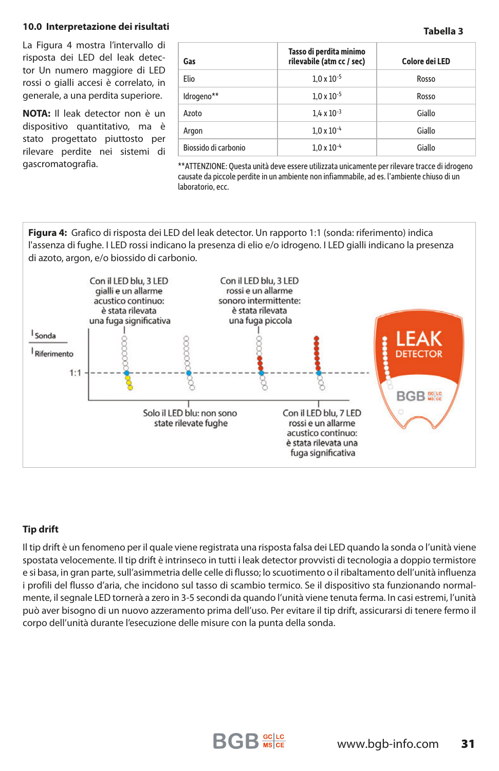#### **10.0 Interpretazione dei risultati**

La Figura 4 mostra l'intervallo di risposta dei LED del leak detector Un numero maggiore di LED rossi o gialli accesi è correlato, in generale, a una perdita superiore.

**NOTA:** Il leak detector non è un dispositivo quantitativo, ma è stato progettato piuttosto per rilevare perdite nei sistemi di gascromatografia.

| Gas                  | Tasso di perdita minimo<br>rilevabile (atm cc / sec) | Colore dei LED |
|----------------------|------------------------------------------------------|----------------|
| Elio                 | $1.0 \times 10^{-5}$                                 | Rosso          |
| ldrogeno**           | $1.0 \times 10^{-5}$                                 | Rosso          |
| Azoto                | $1.4 \times 10^{-3}$                                 | Giallo         |
| Argon                | $1.0 \times 10^{-4}$                                 | Giallo         |
| Biossido di carbonio | $1.0 \times 10^{-4}$                                 | Giallo         |

\*\*ATTENZIONE: Questa unità deve essere utilizzata unicamente per rilevare tracce di idrogeno causate da piccole perdite in un ambiente non infiammabile, ad es. l'ambiente chiuso di un laboratorio, ecc.

**Figura 4:** Grafico di risposta dei LED del leak detector. Un rapporto 1:1 (sonda: riferimento) indica l'assenza di fughe. I LED rossi indicano la presenza di elio e/o idrogeno. I LED gialli indicano la presenza di azoto, argon, e/o biossido di carbonio.



#### **Tip drift**

Il tip drift è un fenomeno per il quale viene registrata una risposta falsa dei LED quando la sonda o l'unità viene spostata velocemente. Il tip drift è intrinseco in tutti i leak detector provvisti di tecnologia a doppio termistore e si basa, in gran parte, sull'asimmetria delle celle di flusso; lo scuotimento o il ribaltamento dell'unità influenza i profili del flusso d'aria, che incidono sul tasso di scambio termico. Se il dispositivo sta funzionando normalmente, il segnale LED tornerà a zero in 3-5 secondi da quando l'unità viene tenuta ferma. In casi estremi, l'unità può aver bisogno di un nuovo azzeramento prima dell'uso. Per evitare il tip drift, assicurarsi di tenere fermo il corpo dell'unità durante l'esecuzione delle misure con la punta della sonda.

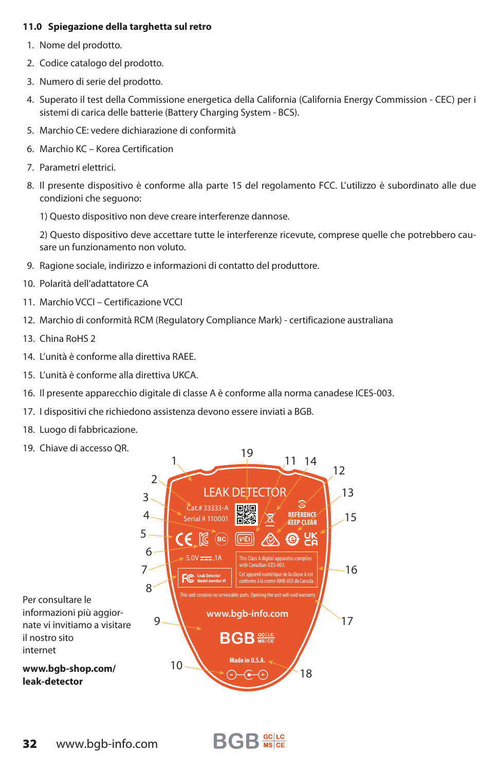#### **11.0 Spiegazione della targhetta sul retro**

- 1. Nome del prodotto.
- 2. Codice catalogo del prodotto.
- 3. Numero di serie del prodotto.
- 4. Superato il test della Commissione energetica della California (California Energy Commission CEC) per i sistemi di carica delle batterie (Battery Charging System - BCS).
- 5. Marchio CE: vedere dichiarazione di conformità
- 6. Marchio KC Korea Certification
- 7. Parametri elettrici.
- 8. Il presente dispositivo è conforme alla parte 15 del regolamento FCC. L'utilizzo è subordinato alle due condizioni che seguono:
	- 1) Questo dispositivo non deve creare interferenze dannose.

2) Questo dispositivo deve accettare tutte le interferenze ricevute, comprese quelle che potrebbero causare un funzionamento non voluto.

- 9. Ragione sociale, indirizzo e informazioni di contatto del produttore.
- 10. Polarità dell'adattatore CA
- 11. Marchio VCCI Certificazione VCCI
- 12. Marchio di conformità RCM (Regulatory Compliance Mark) certificazione australiana
- 13. China RoHS 2
- 14. L'unità è conforme alla direttiva RAEE.
- 15. L'unità è conforme alla direttiva UKCA.
- 16. Il presente apparecchio digitale di classe A è conforme alla norma canadese ICES-003.
- 17. I dispositivi che richiedono assistenza devono essere inviati a BGB.
- 18. Luogo di fabbricazione.
- 19. Chiave di accesso QR.



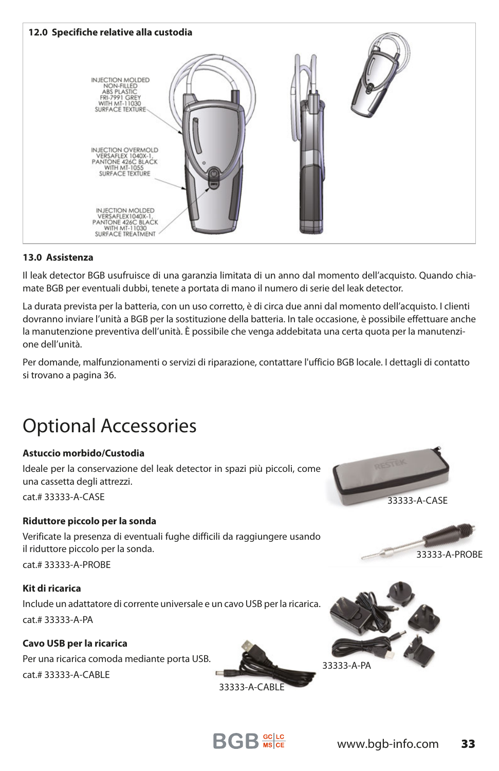

#### **13.0 Assistenza**

Il leak detector BGB usufruisce di una garanzia limitata di un anno dal momento dell'acquisto. Quando chiamate BGB per eventuali dubbi, tenete a portata di mano il numero di serie del leak detector.

La durata prevista per la batteria, con un uso corretto, è di circa due anni dal momento dell'acquisto. I clienti dovranno inviare l'unità a BGB per la sostituzione della batteria. In tale occasione, è possibile effettuare anche la manutenzione preventiva dell'unità. È possibile che venga addebitata una certa quota per la manutenzione dell'unità.

Per domande, malfunzionamenti o servizi di riparazione, contattare l'ufficio BGB locale. I dettagli di contatto si trovano a pagina 36.

### Optional Accessories

#### **Astuccio morbido/Custodia**

Ideale per la conservazione del leak detector in spazi più piccoli, come una cassetta degli attrezzi.

cat.# 33333-A-CASE

#### **Riduttore piccolo per la sonda**

Verificate la presenza di eventuali fughe difficili da raggiungere usando il riduttore piccolo per la sonda. cat.# 33333-A-PROBE

#### **Kit di ricarica**

Include un adattatore di corrente universale e un cavo USB per la ricarica. cat.# 33333-A-PA

**Cavo USB per la ricarica** Per una ricarica comoda mediante porta USB. cat.# 33333-A-CABLE









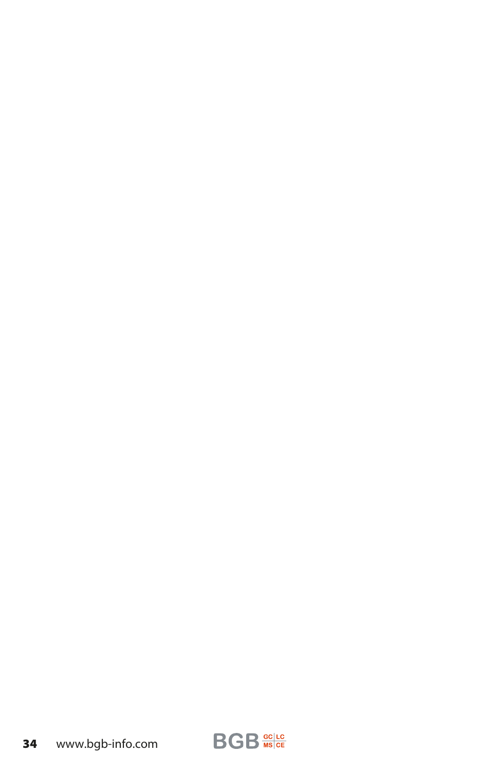

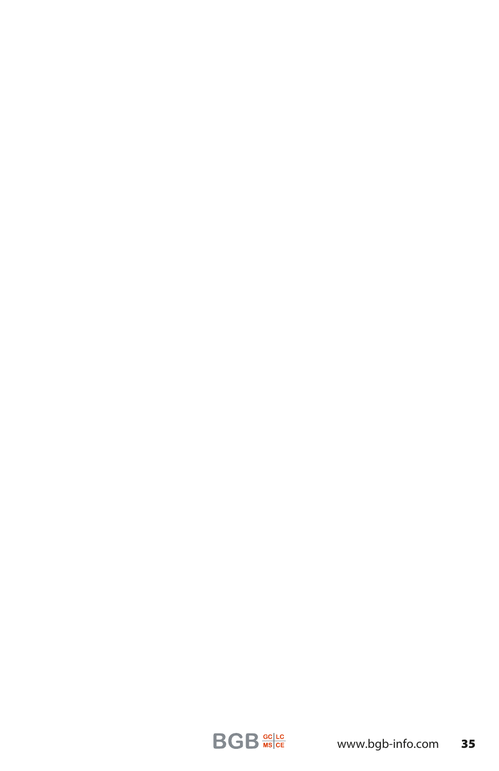